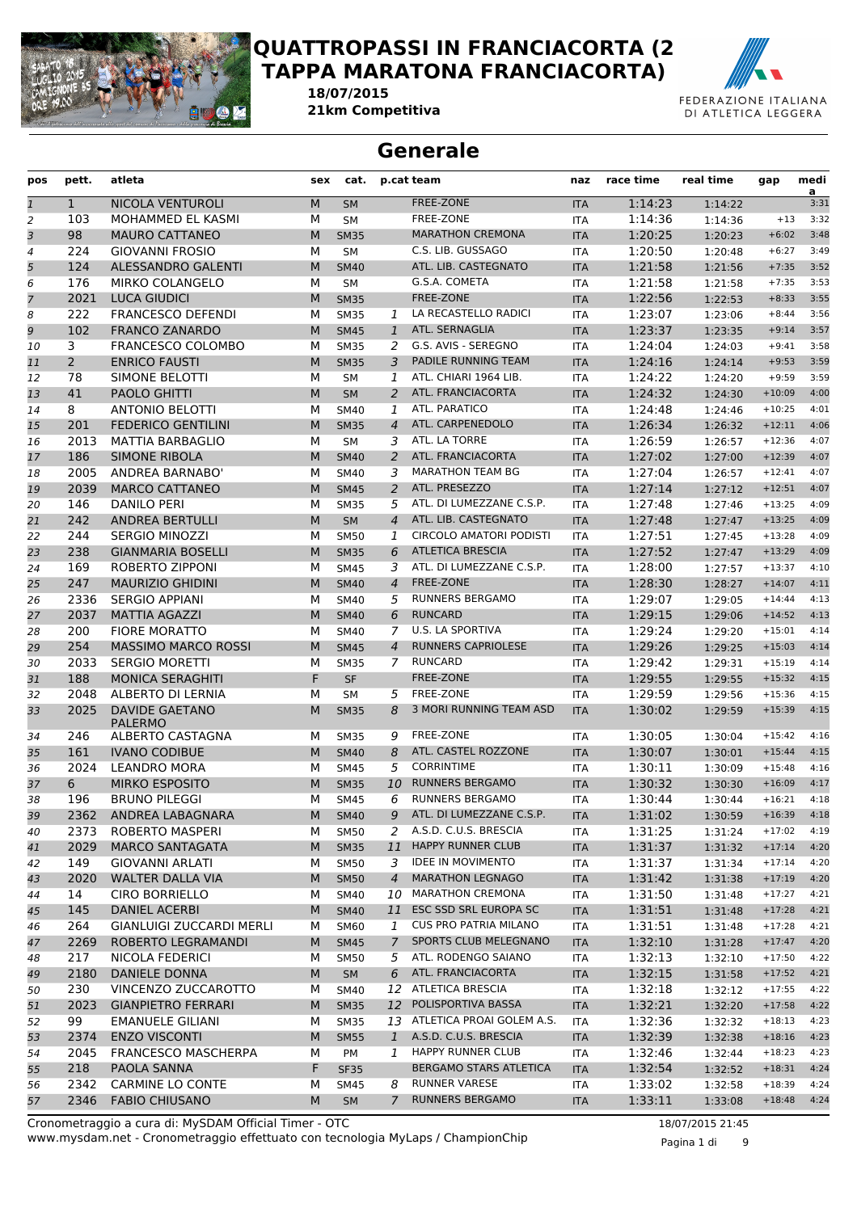

#### **QUATTROPASSI IN FRANCIACORTA (2 TAPPA MARATONA FRANCIACORTA)**

*Gara* **21km Competitiva** *Data* **18/07/2015**



#### **Generale**

| pos            | pett.          | atleta                          | sex | cat.        |                | p.cat team                     | naz        | race time | real time | gap           | medi<br>a |
|----------------|----------------|---------------------------------|-----|-------------|----------------|--------------------------------|------------|-----------|-----------|---------------|-----------|
| $\mathbf{1}$   | $\mathbf{1}$   | NICOLA VENTUROLI                | M   | <b>SM</b>   |                | FREE-ZONE                      | <b>ITA</b> | 1:14:23   | 1:14:22   |               | 3:31      |
| $\overline{c}$ | 103            | MOHAMMED EL KASMI               | М   | <b>SM</b>   |                | FREE-ZONE                      | <b>ITA</b> | 1:14:36   | 1:14:36   | $+13$         | 3:32      |
| 3              | 98             | <b>MAURO CATTANEO</b>           | M   | <b>SM35</b> |                | <b>MARATHON CREMONA</b>        | <b>ITA</b> | 1:20:25   | 1:20:23   | $+6:02$       | 3:48      |
| 4              | 224            | <b>GIOVANNI FROSIO</b>          | м   | <b>SM</b>   |                | C.S. LIB. GUSSAGO              | <b>ITA</b> | 1:20:50   | 1:20:48   | $+6:27$       | 3:49      |
| 5              | 124            | ALESSANDRO GALENTI              | M   | <b>SM40</b> |                | ATL. LIB. CASTEGNATO           | <b>ITA</b> | 1:21:58   | 1:21:56   | $+7:35$       | 3:52      |
| 6              | 176            | MIRKO COLANGELO                 | М   | <b>SM</b>   |                | G.S.A. COMETA                  | <b>ITA</b> | 1:21:58   | 1:21:58   | $+7:35$       | 3:53      |
| 7              | 2021           | <b>LUCA GIUDICI</b>             | M   | <b>SM35</b> |                | <b>FREE-ZONE</b>               | <b>ITA</b> | 1:22:56   | 1:22:53   | $+8:33$       | 3:55      |
| 8              | 222            | <b>FRANCESCO DEFENDI</b>        | М   | <b>SM35</b> | 1              | LA RECASTELLO RADICI           | <b>ITA</b> | 1:23:07   | 1:23:06   | $+8:44$       | 3:56      |
| 9              | 102            | <b>FRANCO ZANARDO</b>           | M   | <b>SM45</b> | $\mathbf{1}$   | ATL. SERNAGLIA                 | <b>ITA</b> | 1:23:37   | 1:23:35   | $+9:14$       | 3:57      |
| 10             | 3              | <b>FRANCESCO COLOMBO</b>        | М   | <b>SM35</b> | 2              | G.S. AVIS - SEREGNO            | <b>ITA</b> | 1:24:04   | 1:24:03   | $+9:41$       | 3:58      |
| 11             | $\overline{2}$ | <b>ENRICO FAUSTI</b>            | M   | <b>SM35</b> | 3              | PADILE RUNNING TEAM            | <b>ITA</b> | 1:24:16   | 1:24:14   | $+9:53$       | 3:59      |
| 12             | 78             | SIMONE BELOTTI                  | М   | SM          | 1              | ATL. CHIARI 1964 LIB.          | <b>ITA</b> | 1:24:22   | 1:24:20   | $+9:59$       | 3:59      |
| 13             | 41             | PAOLO GHITTI                    | M   | <b>SM</b>   | $\overline{2}$ | ATL. FRANCIACORTA              | <b>ITA</b> | 1:24:32   | 1:24:30   | $+10:09$      | 4:00      |
| 14             | 8              | <b>ANTONIO BELOTTI</b>          | М   | <b>SM40</b> | 1              | ATL. PARATICO                  | <b>ITA</b> | 1:24:48   | 1:24:46   | $+10:25$      | 4:01      |
| 15             | 201            | <b>FEDERICO GENTILINI</b>       | M   | <b>SM35</b> | $\overline{4}$ | ATL. CARPENEDOLO               | <b>ITA</b> | 1:26:34   | 1:26:32   | $+12:11$      | 4:06      |
| 16             | 2013           | <b>MATTIA BARBAGLIO</b>         | М   | <b>SM</b>   | 3              | ATL. LA TORRE                  | <b>ITA</b> | 1:26:59   | 1:26:57   | $+12:36$      | 4:07      |
| 17             | 186            | <b>SIMONE RIBOLA</b>            | M   | <b>SM40</b> | 2              | ATL. FRANCIACORTA              | <b>ITA</b> | 1:27:02   | 1:27:00   | $+12:39$      | 4:07      |
| 18             | 2005           | <b>ANDREA BARNABO'</b>          | М   | <b>SM40</b> | 3              | <b>MARATHON TEAM BG</b>        | <b>ITA</b> | 1:27:04   | 1:26:57   | $+12:41$      | 4:07      |
| 19             | 2039           | <b>MARCO CATTANEO</b>           | М   | <b>SM45</b> | $\overline{a}$ | ATL. PRESEZZO                  | <b>ITA</b> | 1:27:14   | 1:27:12   | $+12:51$      | 4:07      |
| 20             | 146            | <b>DANILO PERI</b>              | М   | <b>SM35</b> | 5              | ATL. DI LUMEZZANE C.S.P.       | <b>ITA</b> | 1:27:48   | 1:27:46   | $+13:25$      | 4:09      |
| 21             | 242            | <b>ANDREA BERTULLI</b>          | M   | <b>SM</b>   | $\overline{4}$ | ATL. LIB. CASTEGNATO           | <b>ITA</b> | 1:27:48   | 1:27:47   | $+13:25$      | 4:09      |
| 22             | 244            | SERGIO MINOZZI                  | М   | <b>SM50</b> | 1              | <b>CIRCOLO AMATORI PODISTI</b> | <b>ITA</b> | 1:27:51   | 1:27:45   | $+13:28$      | 4:09      |
| 23             | 238            | <b>GIANMARIA BOSELLI</b>        | M   | <b>SM35</b> | 6              | <b>ATLETICA BRESCIA</b>        | <b>ITA</b> | 1:27:52   | 1:27:47   | $+13:29$      | 4:09      |
| 24             | 169            | ROBERTO ZIPPONI                 | М   | <b>SM45</b> | 3              | ATL. DI LUMEZZANE C.S.P.       | <b>ITA</b> | 1:28:00   | 1:27:57   | $+13:37$      | 4:10      |
| 25             | 247            | <b>MAURIZIO GHIDINI</b>         | M   | <b>SM40</b> | $\overline{4}$ | FREE-ZONE                      | <b>ITA</b> | 1:28:30   | 1:28:27   | $+14:07$      | 4:11      |
| 26             | 2336           | <b>SERGIO APPIANI</b>           | М   | <b>SM40</b> | 5              | <b>RUNNERS BERGAMO</b>         | <b>ITA</b> | 1:29:07   | 1:29:05   | $+14:44$      | 4:13      |
| 27             | 2037           | <b>MATTIA AGAZZI</b>            | M   | <b>SM40</b> | 6              | <b>RUNCARD</b>                 | <b>ITA</b> | 1:29:15   | 1:29:06   | $+14:52$      | 4:13      |
| 28             | 200            | <b>FIORE MORATTO</b>            | м   | <b>SM40</b> | 7              | U.S. LA SPORTIVA               | <b>ITA</b> | 1:29:24   | 1:29:20   | $+15:01$      | 4:14      |
| 29             | 254            | <b>MASSIMO MARCO ROSSI</b>      | M   | <b>SM45</b> | $\overline{4}$ | <b>RUNNERS CAPRIOLESE</b>      | <b>ITA</b> | 1:29:26   | 1:29:25   | $+15:03$      | 4:14      |
| 30             | 2033           | <b>SERGIO MORETTI</b>           | М   | <b>SM35</b> | $\mathcal{I}$  | <b>RUNCARD</b>                 | <b>ITA</b> | 1:29:42   | 1:29:31   | $+15:19$      | 4:14      |
| 31             | 188            | <b>MONICA SERAGHITI</b>         | F   | <b>SF</b>   |                | FREE-ZONE                      | <b>ITA</b> | 1:29:55   | 1:29:55   | $+15:32$      | 4:15      |
| 32             | 2048           | ALBERTO DI LERNIA               | М   | <b>SM</b>   | 5              | FREE-ZONE                      | <b>ITA</b> | 1:29:59   | 1:29:56   | $+15:36$      | 4:15      |
| 33             | 2025           | <b>DAVIDE GAETANO</b>           | M   | <b>SM35</b> | 8              | 3 MORI RUNNING TEAM ASD        | <b>ITA</b> | 1:30:02   | 1:29:59   | $+15:39$      | 4:15      |
|                |                | PALERMO                         |     |             |                |                                |            |           |           |               |           |
| 34             | 246            | ALBERTO CASTAGNA                | М   | <b>SM35</b> | 9              | FREE-ZONE                      | <b>ITA</b> | 1:30:05   | 1:30:04   | $+15:42$      | 4:16      |
| 35             | 161            | <b>IVANO CODIBUE</b>            | M   | <b>SM40</b> | 8              | ATL. CASTEL ROZZONE            | <b>ITA</b> | 1:30:07   | 1:30:01   | $+15:44$      | 4:15      |
| 36             | 2024           | <b>LEANDRO MORA</b>             | М   | <b>SM45</b> | 5              | <b>CORRINTIME</b>              | <b>ITA</b> | 1:30:11   | 1:30:09   | $+15:48$      | 4:16      |
| 37             | 6              | <b>MIRKO ESPOSITO</b>           | M   | <b>SM35</b> | 10             | <b>RUNNERS BERGAMO</b>         | <b>ITA</b> | 1:30:32   | 1:30:30   | $+16:09$      | 4:17      |
| 38             | 196            | <b>BRUNO PILEGGI</b>            | М   | <b>SM45</b> | 6              | <b>RUNNERS BERGAMO</b>         | <b>ITA</b> | 1:30:44   | 1:30:44   | $+16:21$      | 4:18      |
| 39             |                | 2362 ANDREA LABAGNARA           | M   | <b>SM40</b> |                | 9 ATL. DI LUMEZZANE C.S.P.     | <b>ITA</b> | 1:31:02   | 1:30:59   | $+16:39$ 4:18 |           |
| 40             | 2373           | ROBERTO MASPERI                 | м   | <b>SM50</b> |                | 2 A.S.D. C.U.S. BRESCIA        | ITA        | 1:31:25   | 1:31:24   | $+17:02$      | 4:19      |
| 41             | 2029           | <b>MARCO SANTAGATA</b>          | M   | <b>SM35</b> | 11             | HAPPY RUNNER CLUB              | <b>ITA</b> | 1:31:37   | 1:31:32   | $+17:14$      | 4:20      |
| 42             | 149            | GIOVANNI ARLATI                 | м   | SM50        |                | 3 IDEE IN MOVIMENTO            | ITA        | 1:31:37   | 1:31:34   | $+17:14$      | 4:20      |
| 43             | 2020           | <b>WALTER DALLA VIA</b>         | M   | <b>SM50</b> | $\overline{4}$ | <b>MARATHON LEGNAGO</b>        | <b>ITA</b> | 1:31:42   | 1:31:38   | $+17:19$      | 4:20      |
| 44             | 14             | <b>CIRO BORRIELLO</b>           | м   | <b>SM40</b> |                | 10 MARATHON CREMONA            | ITA        | 1:31:50   | 1:31:48   | $+17:27$      | 4:21      |
| 45             | 145            | DANIEL ACERBI                   | M   | <b>SM40</b> |                | 11 ESC SSD SRL EUROPA SC       | <b>ITA</b> | 1:31:51   | 1:31:48   | $+17:28$      | 4:21      |
| 46             | 264            | <b>GIANLUIGI ZUCCARDI MERLI</b> | м   | <b>SM60</b> | 1              | <b>CUS PRO PATRIA MILANO</b>   | ITA        | 1:31:51   | 1:31:48   | $+17:28$      | 4:21      |
| 47             | 2269           | ROBERTO LEGRAMANDI              | М   | <b>SM45</b> | 7 <sup>7</sup> | SPORTS CLUB MELEGNANO          | <b>ITA</b> | 1:32:10   | 1:31:28   | $+17:47$      | 4:20      |
| 48             | 217            | NICOLA FEDERICI                 | м   | <b>SM50</b> |                | 5 ATL. RODENGO SAIANO          | ITA        | 1:32:13   | 1:32:10   | $+17:50$      | 4:22      |
| 49             | 2180           | DANIELE DONNA                   | М   | SM          | 6              | ATL. FRANCIACORTA              | <b>ITA</b> | 1:32:15   | 1:31:58   | $+17:52$      | 4:21      |
| 50             | 230            | VINCENZO ZUCCAROTTO             | м   | <b>SM40</b> |                | 12 ATLETICA BRESCIA            | ITA        | 1:32:18   | 1:32:12   | $+17:55$      | 4:22      |
| 51             | 2023           | <b>GIANPIETRO FERRARI</b>       | М   | <b>SM35</b> | 12             | POLISPORTIVA BASSA             | <b>ITA</b> | 1:32:21   | 1:32:20   | $+17:58$      | 4:22      |
| 52             | 99             | <b>EMANUELE GILIANI</b>         | М   | <b>SM35</b> |                | 13 ATLETICA PROAI GOLEM A.S.   | ITA        | 1:32:36   | 1:32:32   | $+18:13$      | 4:23      |
| 53             | 2374           | <b>ENZO VISCONTI</b>            | M   | <b>SM55</b> | $\mathbf{1}$   | A.S.D. C.U.S. BRESCIA          | <b>ITA</b> | 1:32:39   | 1:32:38   | $+18:16$      | 4:23      |
| 54             | 2045           | <b>FRANCESCO MASCHERPA</b>      | м   | PM          |                | 1 HAPPY RUNNER CLUB            | ITA        | 1:32:46   | 1:32:44   | $+18:23$      | 4:23      |
| 55             | 218            | PAOLA SANNA                     | F.  | <b>SF35</b> |                | <b>BERGAMO STARS ATLETICA</b>  | <b>ITA</b> | 1:32:54   | 1:32:52   | $+18:31$      | 4:24      |
| 56             | 2342           | <b>CARMINE LO CONTE</b>         | М   | <b>SM45</b> |                | 8 RUNNER VARESE                | ITA        | 1:33:02   | 1:32:58   | $+18:39$      | 4:24      |
| 57             | 2346           | <b>FABIO CHIUSANO</b>           | M   | <b>SM</b>   | 7              | <b>RUNNERS BERGAMO</b>         | <b>ITA</b> | 1:33:11   | 1:33:08   | $+18:48$      | 4:24      |
|                |                |                                 |     |             |                |                                |            |           |           |               |           |

www.mysdam.net - Cronometraggio effettuato con tecnologia MyLaps / ChampionChip Cronometraggio a cura di: MySDAM Official Timer - OTC 18/07/2015 21:45

Pagina 1 di 9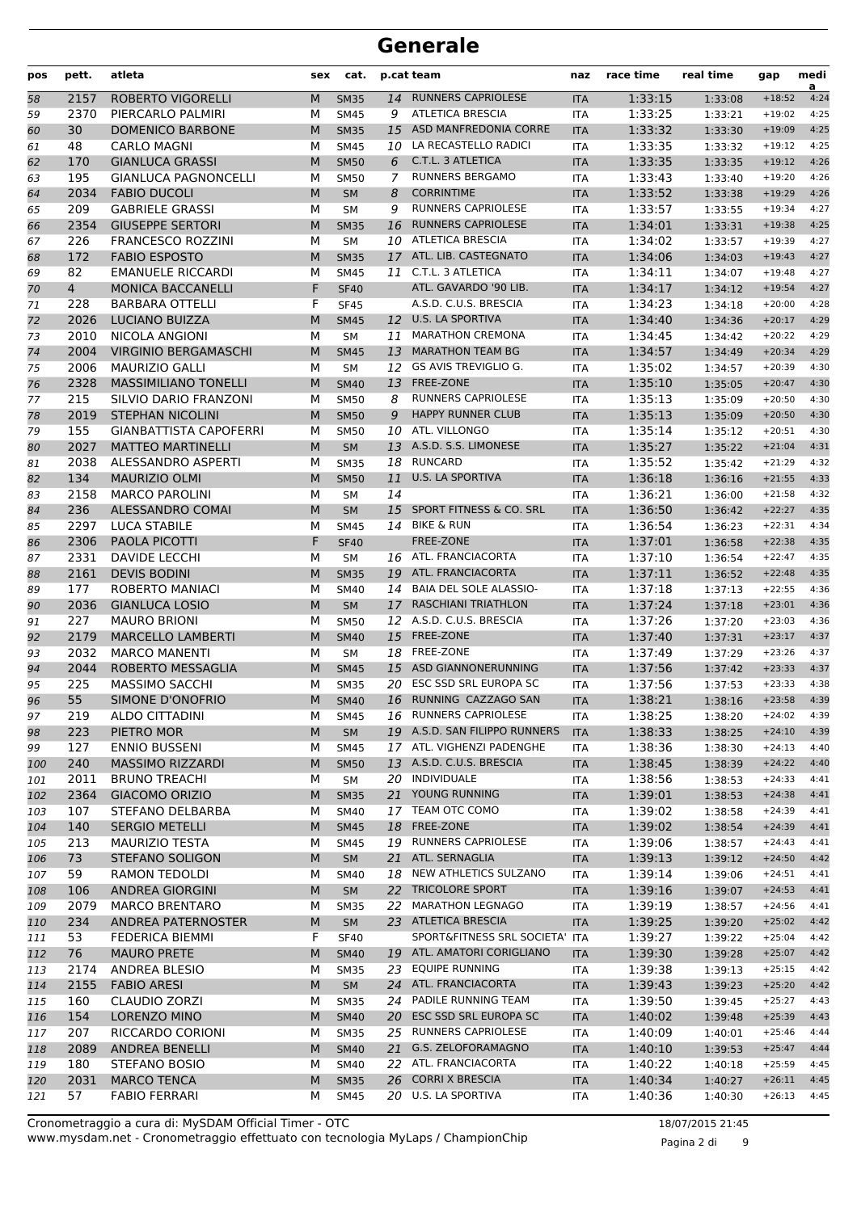| pos      | pett.       | atleta                                           | sex    | cat.                       |    | p.cat team                                | naz                      | race time          | real time          | gap                  | medi<br>a    |
|----------|-------------|--------------------------------------------------|--------|----------------------------|----|-------------------------------------------|--------------------------|--------------------|--------------------|----------------------|--------------|
| 58       | 2157        | <b>ROBERTO VIGORELLI</b>                         | M      | <b>SM35</b>                | 14 | <b>RUNNERS CAPRIOLESE</b>                 | <b>ITA</b>               | 1:33:15            | 1:33:08            | $+18:52$             | 4:24         |
| 59       | 2370        | PIERCARLO PALMIRI                                | М      | <b>SM45</b>                | 9  | <b>ATLETICA BRESCIA</b>                   | <b>ITA</b>               | 1:33:25            | 1:33:21            | $+19:02$             | 4:25         |
| 60       | 30          | <b>DOMENICO BARBONE</b>                          | M      | <b>SM35</b>                | 15 | <b>ASD MANFREDONIA CORRE</b>              | <b>ITA</b>               | 1:33:32            | 1:33:30            | $+19:09$             | 4:25         |
| 61       | 48          | <b>CARLO MAGNI</b>                               | м      | <b>SM45</b>                | 10 | LA RECASTELLO RADICI                      | <b>ITA</b>               | 1:33:35            | 1:33:32            | $+19:12$             | 4:25         |
| 62       | 170         | <b>GIANLUCA GRASSI</b>                           | M      | <b>SM50</b>                | 6  | C.T.L. 3 ATLETICA                         | <b>ITA</b>               | 1:33:35            | 1:33:35            | $+19:12$             | 4:26         |
| 63       | 195         | <b>GIANLUCA PAGNONCELLI</b>                      | М      | <b>SM50</b>                | 7  | <b>RUNNERS BERGAMO</b>                    | <b>ITA</b>               | 1:33:43            | 1:33:40            | $+19:20$             | 4:26         |
| 64       | 2034        | <b>FABIO DUCOLI</b>                              | M      | <b>SM</b>                  | 8  | <b>CORRINTIME</b>                         | <b>ITA</b>               | 1:33:52            | 1:33:38            | $+19:29$             | 4:26         |
| 65       | 209         | <b>GABRIELE GRASSI</b>                           | М      | <b>SM</b>                  | 9  | <b>RUNNERS CAPRIOLESE</b>                 | <b>ITA</b>               | 1:33:57            | 1:33:55            | $+19:34$             | 4:27         |
| 66       | 2354        | <b>GIUSEPPE SERTORI</b>                          | M      | <b>SM35</b>                | 16 | <b>RUNNERS CAPRIOLESE</b>                 | <b>ITA</b>               | 1:34:01            | 1:33:31            | $+19:38$             | 4:25         |
| 67       | 226         | <b>FRANCESCO ROZZINI</b>                         | М      | <b>SM</b>                  | 10 | <b>ATLETICA BRESCIA</b>                   | <b>ITA</b>               | 1:34:02            | 1:33:57            | $+19:39$             | 4:27         |
| 68       | 172         | <b>FABIO ESPOSTO</b>                             | M      | <b>SM35</b>                | 17 | ATL. LIB. CASTEGNATO                      | <b>ITA</b>               | 1:34:06            | 1:34:03            | $+19:43$             | 4:27         |
| 69       | 82          | <b>EMANUELE RICCARDI</b>                         | М      | <b>SM45</b>                |    | 11 C.T.L. 3 ATLETICA                      | <b>ITA</b>               | 1:34:11            | 1:34:07            | $+19:48$             | 4:27         |
| 70       | 4           | <b>MONICA BACCANELLI</b>                         | F      | <b>SF40</b>                |    | ATL. GAVARDO '90 LIB.                     | <b>ITA</b>               | 1:34:17            | 1:34:12            | $+19:54$             | 4:27         |
| 71       | 228         | <b>BARBARA OTTELLI</b>                           | F      | <b>SF45</b>                |    | A.S.D. C.U.S. BRESCIA                     | <b>ITA</b>               | 1:34:23            | 1:34:18            | $+20:00$             | 4:28         |
| 72       | 2026        | <b>LUCIANO BUIZZA</b>                            | M      | <b>SM45</b>                |    | 12 U.S. LA SPORTIVA                       | <b>ITA</b>               | 1:34:40            | 1:34:36            | $+20:17$             | 4:29         |
| 73       | 2010        | NICOLA ANGIONI                                   | М      | <b>SM</b>                  | 11 | <b>MARATHON CREMONA</b>                   | <b>ITA</b>               | 1:34:45            | 1:34:42            | $+20:22$             | 4:29         |
| 74       | 2004        | <b>VIRGINIO BERGAMASCHI</b>                      | M      | <b>SM45</b>                | 13 | <b>MARATHON TEAM BG</b>                   | <b>ITA</b>               | 1:34:57            | 1:34:49            | $+20:34$             | 4:29         |
| 75       | 2006        | <b>MAURIZIO GALLI</b>                            | М      | <b>SM</b>                  | 12 | <b>GS AVIS TREVIGLIO G.</b>               | <b>ITA</b>               | 1:35:02            | 1:34:57            | $+20:39$             | 4:30         |
| 76       | 2328        | <b>MASSIMILIANO TONELLI</b>                      | M      | <b>SM40</b>                | 13 | <b>FREE-ZONE</b>                          | <b>ITA</b>               | 1:35:10            | 1:35:05            | $+20:47$             | 4:30         |
| 77       | 215         | SILVIO DARIO FRANZONI                            | М      | <b>SM50</b>                | 8  | <b>RUNNERS CAPRIOLESE</b>                 | <b>ITA</b>               | 1:35:13            | 1:35:09            | $+20:50$             | 4:30         |
| 78       | 2019        | <b>STEPHAN NICOLINI</b>                          | M      | <b>SM50</b>                | 9  | <b>HAPPY RUNNER CLUB</b>                  | <b>ITA</b>               | 1:35:13            | 1:35:09            | $+20:50$             | 4:30         |
| 79       | 155         | <b>GIANBATTISTA CAPOFERRI</b>                    | М      | <b>SM50</b>                | 10 | ATL. VILLONGO                             | <b>ITA</b>               | 1:35:14            | 1:35:12            | $+20:51$             | 4:30         |
| 80       | 2027        | <b>MATTEO MARTINELLI</b>                         | M      | <b>SM</b>                  | 13 | A.S.D. S.S. LIMONESE                      | <b>ITA</b>               | 1:35:27            | 1:35:22            | $+21:04$             | 4:31         |
| 81       | 2038        | ALESSANDRO ASPERTI                               | М      | <b>SM35</b>                | 18 | <b>RUNCARD</b><br><b>U.S. LA SPORTIVA</b> | <b>ITA</b>               | 1:35:52            | 1:35:42            | $+21:29$             | 4:32<br>4:33 |
| 82       | 134         | <b>MAURIZIO OLMI</b>                             | M      | <b>SM50</b>                | 11 |                                           | <b>ITA</b>               | 1:36:18            | 1:36:16            | $+21:55$             |              |
| 83       | 2158<br>236 | <b>MARCO PAROLINI</b><br><b>ALESSANDRO COMAI</b> | M      | <b>SM</b>                  | 14 | <b>SPORT FITNESS &amp; CO. SRL</b>        | <b>ITA</b>               | 1:36:21<br>1:36:50 | 1:36:00            | $+21:58$<br>$+22:27$ | 4:32<br>4:35 |
| 84       | 2297        |                                                  | M      | <b>SM</b>                  | 15 | <b>BIKE &amp; RUN</b>                     | <b>ITA</b>               |                    | 1:36:42            | $+22:31$             | 4:34         |
| 85       | 2306        | LUCA STABILE<br><b>PAOLA PICOTTI</b>             | м<br>F | <b>SM45</b><br><b>SF40</b> | 14 | FREE-ZONE                                 | <b>ITA</b><br><b>ITA</b> | 1:36:54<br>1:37:01 | 1:36:23            | $+22:38$             | 4:35         |
| 86       | 2331        | <b>DAVIDE LECCHI</b>                             | М      | <b>SM</b>                  |    | 16 ATL. FRANCIACORTA                      | <b>ITA</b>               | 1:37:10            | 1:36:58            | $+22:47$             | 4:35         |
| 87<br>88 | 2161        | <b>DEVIS BODINI</b>                              | M      | <b>SM35</b>                | 19 | ATL. FRANCIACORTA                         | <b>ITA</b>               | 1:37:11            | 1:36:54<br>1:36:52 | $+22:48$             | 4:35         |
| 89       | 177         | ROBERTO MANIACI                                  | M      | <b>SM40</b>                |    | 14 BAIA DEL SOLE ALASSIO-                 | <b>ITA</b>               | 1:37:18            | 1:37:13            | $+22:55$             | 4:36         |
| 90       | 2036        | <b>GIANLUCA LOSIO</b>                            | M      | <b>SM</b>                  | 17 | <b>RASCHIANI TRIATHLON</b>                | <b>ITA</b>               | 1:37:24            | 1:37:18            | $+23:01$             | 4:36         |
| 91       | 227         | <b>MAURO BRIONI</b>                              | М      | <b>SM50</b>                | 12 | A.S.D. C.U.S. BRESCIA                     | <b>ITA</b>               | 1:37:26            | 1:37:20            | $+23:03$             | 4:36         |
| 92       | 2179        | <b>MARCELLO LAMBERTI</b>                         | M      | <b>SM40</b>                | 15 | FREE-ZONE                                 | <b>ITA</b>               | 1:37:40            | 1:37:31            | $+23:17$             | 4:37         |
| 93       | 2032        | <b>MARCO MANENTI</b>                             | М      | <b>SM</b>                  | 18 | FREE-ZONE                                 | <b>ITA</b>               | 1:37:49            | 1:37:29            | $+23:26$             | 4:37         |
| 94       | 2044        | ROBERTO MESSAGLIA                                | M      | <b>SM45</b>                | 15 | <b>ASD GIANNONERUNNING</b>                | <b>ITA</b>               | 1:37:56            | 1:37:42            | $+23:33$             | 4:37         |
| 95       | 225         | <b>MASSIMO SACCHI</b>                            | М      | <b>SM35</b>                | 20 | <b>ESC SSD SRL EUROPA SC</b>              | <b>ITA</b>               | 1:37:56            | 1:37:53            | $+23:33$             | 4:38         |
| 96       | 55          | <b>SIMONE D'ONOFRIO</b>                          | M      | <b>SM40</b>                | 16 | RUNNING CAZZAGO SAN                       | <b>ITA</b>               | 1:38:21            | 1:38:16            | $+23:58$             | 4:39         |
| 97       | 219         | ALDO CITTADINI                                   | М      | <b>SM45</b>                |    | 16 RUNNERS CAPRIOLESE                     | ITA                      | 1:38:25            | 1:38:20            | $+24:02$             | 4:39         |
| 98       | 223         | PIETRO MOR                                       | M      | SM                         |    | 19 A.S.D. SAN FILIPPO RUNNERS             | <b>ITA</b>               | 1:38:33            | 1:38:25            | $+24:10$             | 4:39         |
| 99       | 127         | <b>ENNIO BUSSENI</b>                             | М      | <b>SM45</b>                |    | 17 ATL. VIGHENZI PADENGHE                 | ITA                      | 1:38:36            | 1:38:30            | $+24:13$             | 4:40         |
| 100      | 240         | <b>MASSIMO RIZZARDI</b>                          | M      | <b>SM50</b>                |    | 13 A.S.D. C.U.S. BRESCIA                  | <b>ITA</b>               | 1:38:45            | 1:38:39            | $+24:22$             | 4:40         |
| 101      | 2011        | <b>BRUNO TREACHI</b>                             | М      | <b>SM</b>                  |    | 20 INDIVIDUALE                            | ITA                      | 1:38:56            | 1:38:53            | $+24:33$             | 4:41         |
| 102      | 2364        | GIACOMO ORIZIO                                   | M      | <b>SM35</b>                |    | 21 YOUNG RUNNING                          | <b>ITA</b>               | 1:39:01            | 1:38:53            | $+24:38$             | 4:41         |
| 103      | 107         | STEFANO DELBARBA                                 | М      | <b>SM40</b>                |    | 17 TEAM OTC COMO                          | ITA                      | 1:39:02            | 1:38:58            | $+24:39$             | 4:41         |
| 104      | 140         | <b>SERGIO METELLI</b>                            | M      | <b>SM45</b>                | 18 | FREE-ZONE                                 | <b>ITA</b>               | 1:39:02            | 1:38:54            | $+24:39$             | 4:41         |
| 105      | 213         | <b>MAURIZIO TESTA</b>                            | М      | <b>SM45</b>                |    | 19 RUNNERS CAPRIOLESE                     | ITA                      | 1:39:06            | 1:38:57            | $+24:43$             | 4:41         |
| 106      | 73          | <b>STEFANO SOLIGON</b>                           | M      | <b>SM</b>                  |    | 21 ATL. SERNAGLIA                         | <b>ITA</b>               | 1:39:13            | 1:39:12            | $+24:50$             | 4:42         |
| 107      | 59          | <b>RAMON TEDOLDI</b>                             | М      | SM40                       |    | 18 NEW ATHLETICS SULZANO                  | ITA                      | 1:39:14            | 1:39:06            | $+24:51$             | 4:41         |
| 108      | 106         | <b>ANDREA GIORGINI</b>                           | M      | <b>SM</b>                  |    | 22 TRICOLORE SPORT                        | <b>ITA</b>               | 1:39:16            | 1:39:07            | $+24:53$             | 4:41         |
| 109      | 2079        | <b>MARCO BRENTARO</b>                            | М      | <b>SM35</b>                | 22 | <b>MARATHON LEGNAGO</b>                   | ITA                      | 1:39:19            | 1:38:57            | $+24:56$             | 4:41         |
| 110      | 234         | ANDREA PATERNOSTER                               | M      | SM                         |    | 23 ATLETICA BRESCIA                       | <b>ITA</b>               | 1:39:25            | 1:39:20            | $+25:02$             | 4:42         |
| 111      | 53          | FEDERICA BIEMMI                                  | F      | <b>SF40</b>                |    | SPORT&FITNESS SRL SOCIETA' ITA            |                          | 1:39:27            | 1:39:22            | $+25:04$             | 4:42         |
| 112      | 76          | <b>MAURO PRETE</b>                               | M      | <b>SM40</b>                |    | 19 ATL. AMATORI CORIGLIANO                | <b>ITA</b>               | 1:39:30            | 1:39:28            | $+25:07$             | 4:42         |
| 113      | 2174        | ANDREA BLESIO                                    | М      | <b>SM35</b>                |    | 23 EQUIPE RUNNING                         | ITA                      | 1:39:38            | 1:39:13            | $+25:15$             | 4:42         |
| 114      | 2155        | <b>FABIO ARESI</b>                               | M      | SM                         |    | 24 ATL. FRANCIACORTA                      | <b>ITA</b>               | 1:39:43            | 1:39:23            | $+25:20$             | 4:42         |
| 115      | 160         | <b>CLAUDIO ZORZI</b>                             | М      | <b>SM35</b>                |    | 24 PADILE RUNNING TEAM                    | ITA                      | 1:39:50            | 1:39:45            | $+25:27$             | 4:43         |
| 116      | 154         | LORENZO MINO                                     | M      | <b>SM40</b>                |    | 20 ESC SSD SRL EUROPA SC                  | <b>ITA</b>               | 1:40:02            | 1:39:48            | $+25:39$             | 4:43         |
| 117      | 207         | RICCARDO CORIONI                                 | М      | <b>SM35</b>                |    | 25 RUNNERS CAPRIOLESE                     | ITA                      | 1:40:09            | 1:40:01            | $+25:46$             | 4:44         |
| 118      | 2089        | <b>ANDREA BENELLI</b>                            | M      | <b>SM40</b>                |    | 21 G.S. ZELOFORAMAGNO                     | <b>ITA</b>               | 1:40:10            | 1:39:53            | $+25:47$             | 4:44         |
| 119      | 180         | STEFANO BOSIO                                    | М      | SM40                       |    | 22 ATL. FRANCIACORTA                      | ITA                      | 1:40:22            | 1:40:18            | $+25:59$             | 4:45         |
| 120      | 2031        | <b>MARCO TENCA</b>                               | M      | <b>SM35</b>                | 26 | <b>CORRI X BRESCIA</b>                    | <b>ITA</b>               | 1:40:34            | 1:40:27            | $+26:11$             | 4:45         |
| 121      | 57          | <b>FABIO FERRARI</b>                             | М      | <b>SM45</b>                |    | 20 U.S. LA SPORTIVA                       | ITA                      | 1:40:36            | 1:40:30            | $+26:13$             | 4:45         |

Pagina 2 di 9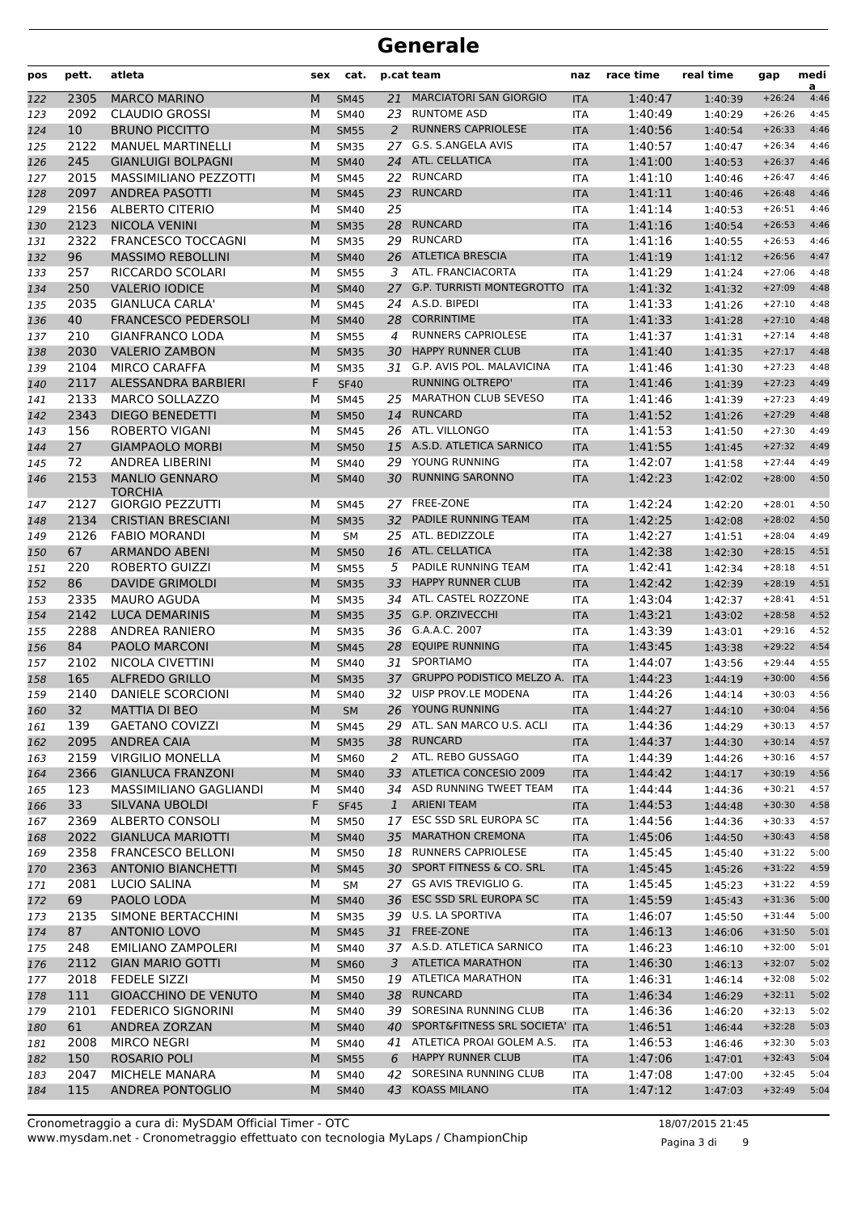| <b>MARCIATORI SAN GIORGIO</b><br>2305<br><b>MARCO MARINO</b><br>M<br>21<br>1:40:47<br><b>SM45</b><br>122<br><b>ITA</b>                                                                   |                    | a                                    |
|------------------------------------------------------------------------------------------------------------------------------------------------------------------------------------------|--------------------|--------------------------------------|
|                                                                                                                                                                                          | 1:40:39            | 4:46<br>$+26:24$                     |
| 2092<br><b>RUNTOME ASD</b><br><b>CLAUDIO GROSSI</b><br>М<br><b>SM40</b><br>23<br>1:40:49<br>123<br><b>ITA</b>                                                                            | 1:40:29            | 4:45<br>$+26:26$                     |
| 10<br><b>BRUNO PICCITTO</b><br>M<br><b>RUNNERS CAPRIOLESE</b><br><b>SM55</b><br>2<br>1:40:56<br>124<br><b>ITA</b>                                                                        | 1:40:54            | 4:46<br>$+26:33$                     |
| G.S. S.ANGELA AVIS<br>2122<br><b>MANUEL MARTINELLI</b><br>1:40:57<br>М<br>27<br>125<br><b>SM35</b><br><b>ITA</b>                                                                         | 1:40:47            | $+26:34$<br>4:46                     |
| ATL. CELLATICA<br>245<br><b>GIANLUIGI BOLPAGNI</b><br>M<br><b>SM40</b><br>24<br>1:41:00<br>126<br><b>ITA</b>                                                                             | 1:40:53            | $+26:37$<br>4:46                     |
| 2015<br>22 RUNCARD<br>MASSIMILIANO PEZZOTTI<br>М<br><b>SM45</b><br><b>ITA</b><br>1:41:10<br>127                                                                                          | 1:40:46            | $+26:47$<br>4:46                     |
| 2097<br><b>ANDREA PASOTTI</b><br>23<br><b>RUNCARD</b><br>1:41:11<br>M<br><b>SM45</b><br>128<br><b>ITA</b>                                                                                | 1:40:46            | 4:46<br>$+26:48$                     |
| 2156<br>25<br>1:41:14<br>ALBERTO CITERIO<br>М<br>SM40<br><b>ITA</b><br>129                                                                                                               | 1:40:53            | 4:46<br>$+26:51$                     |
| 2123<br><b>NICOLA VENINI</b><br><b>RUNCARD</b><br>M<br><b>SM35</b><br>28<br><b>ITA</b><br>1:41:16<br>130                                                                                 | 1:40:54            | $+26:53$<br>4:46                     |
| <b>RUNCARD</b><br>2322<br><b>FRANCESCO TOCCAGNI</b><br>М<br>29<br>1:41:16<br>131<br><b>SM35</b><br><b>ITA</b>                                                                            | 1:40:55            | $+26:53$<br>4:46                     |
| 96<br><b>MASSIMO REBOLLINI</b><br>M<br><b>ATLETICA BRESCIA</b><br>132<br><b>SM40</b><br>26<br><b>ITA</b><br>1:41:19                                                                      | 1:41:12            | $+26:56$<br>4:47                     |
| 257<br>RICCARDO SCOLARI<br>ATL. FRANCIACORTA<br>М<br><b>SM55</b><br>3<br><b>ITA</b><br>1:41:29<br>133                                                                                    | 1:41:24            | $+27:06$<br>4:48                     |
| <b>G.P. TURRISTI MONTEGROTTO</b><br>250<br><b>VALERIO IODICE</b><br>27<br>1:41:32<br>M<br><b>SM40</b><br><b>ITA</b><br>134                                                               | 1:41:32            | 4:48<br>$+27:09$                     |
| 2035<br><b>GIANLUCA CARLA'</b><br>24 A.S.D. BIPEDI<br>1:41:33<br>М<br><b>SM45</b><br>135<br><b>ITA</b>                                                                                   | 1:41:26            | 4:48<br>$+27:10$                     |
| 40<br><b>CORRINTIME</b><br><b>FRANCESCO PEDERSOLI</b><br>M<br>28<br>1:41:33<br><b>SM40</b><br>136<br><b>ITA</b>                                                                          | 1:41:28            | 4:48<br>$+27:10$                     |
| <b>RUNNERS CAPRIOLESE</b><br>210<br><b>GIANFRANCO LODA</b><br>1:41:37<br>137<br>М<br><b>SM55</b><br>4<br><b>ITA</b><br><b>HAPPY RUNNER CLUB</b>                                          | 1:41:31            | $+27:14$<br>4:48                     |
| 2030<br>M<br><b>VALERIO ZAMBON</b><br><b>SM35</b><br><b>ITA</b><br>1:41:40<br>138<br>30                                                                                                  | 1:41:35            | $+27:17$<br>4:48                     |
| 31 G.P. AVIS POL. MALAVICINA<br>2104<br><b>MIRCO CARAFFA</b><br>М<br>1:41:46<br><b>SM35</b><br><b>ITA</b><br>139<br><b>RUNNING OLTREPO'</b><br>ALESSANDRA BARBIERI                       | 1:41:30            | $+27:23$<br>4:48<br>4:49<br>$+27:23$ |
| 2117<br>F<br><b>SF40</b><br>1:41:46<br>140<br><b>ITA</b><br>2133<br><b>MARCO SOLLAZZO</b><br>25 MARATHON CLUB SEVESO                                                                     | 1:41:39            | 4:49<br>$+27:23$                     |
| М<br><b>SM45</b><br><b>ITA</b><br>1:41:46<br>141<br>2343<br><b>RUNCARD</b><br>DIEGO BENEDETTI<br>M<br>14<br>1:41:52<br><b>SM50</b>                                                       | 1:41:39            | $+27:29$<br>4:48                     |
| 142<br><b>ITA</b><br>ATL. VILLONGO<br>156<br><b>ROBERTO VIGANI</b><br>М<br>26<br>1:41:53<br>143<br><b>SM45</b><br><b>ITA</b>                                                             | 1:41:26<br>1:41:50 | $+27:30$<br>4:49                     |
| 27<br>M<br>15 A.S.D. ATLETICA SARNICO<br>1:41:55<br>144<br><b>GIAMPAOLO MORBI</b><br><b>SM50</b><br><b>ITA</b>                                                                           | 1:41:45            | 4:49<br>$+27:32$                     |
| 72<br><b>ANDREA LIBERINI</b><br>YOUNG RUNNING<br>М<br>29<br>1:42:07<br>145<br><b>SM40</b><br><b>ITA</b>                                                                                  | 1:41:58            | $+27:44$<br>4:49                     |
| 2153<br><b>MANLIO GENNARO</b><br><b>RUNNING SARONNO</b><br>1:42:23<br>146<br>M<br><b>SM40</b><br>30<br><b>ITA</b>                                                                        | 1:42:02            | 4:50<br>$+28:00$                     |
| <b>TORCHIA</b>                                                                                                                                                                           |                    |                                      |
| 2127<br>27 FREE-ZONE<br>1:42:24<br><b>GIORGIO PEZZUTTI</b><br>М<br><b>SM45</b><br>147<br>ITA                                                                                             | 1:42:20            | 4:50<br>$+28:01$                     |
| 2134<br>32 PADILE RUNNING TEAM<br>1:42:25<br><b>CRISTIAN BRESCIANI</b><br>M<br><b>SM35</b><br>148<br><b>ITA</b>                                                                          | 1:42:08            | 4:50<br>$+28:02$                     |
| 25 ATL. BEDIZZOLE<br>1:42:27<br>2126<br><b>FABIO MORANDI</b><br>М<br><b>SM</b><br><b>ITA</b><br>149                                                                                      | 1:41:51            | $+28:04$<br>4:49                     |
| ATL. CELLATICA<br>67<br><b>ARMANDO ABENI</b><br>1:42:38<br>M<br>16<br><b>SM50</b><br><b>ITA</b><br>150                                                                                   | 1:42:30            | $+28:15$<br>4:51                     |
| M<br>PADILE RUNNING TEAM<br>220<br><b>ROBERTO GUIZZI</b><br>5<br>1:42:41<br>151<br><b>SM55</b><br><b>ITA</b>                                                                             | 1:42:34            | $+28:18$<br>4:51                     |
| 86<br><b>HAPPY RUNNER CLUB</b><br><b>DAVIDE GRIMOLDI</b><br>M<br>33<br>1:42:42<br>152<br><b>SM35</b><br><b>ITA</b>                                                                       | 1:42:39            | 4:51<br>$+28:19$                     |
| 34 ATL. CASTEL ROZZONE<br>2335<br><b>MAURO AGUDA</b><br>1:43:04<br>М<br><b>SM35</b><br>153<br><b>ITA</b>                                                                                 | 1:42:37            | 4:51<br>$+28:41$                     |
| 2142<br>M<br>35 G.P. ORZIVECCHI<br>1:43:21<br><b>LUCA DEMARINIS</b><br><b>SM35</b><br>154<br><b>ITA</b>                                                                                  | 1:43:02            | 4:52<br>$+28:58$                     |
| 2288<br>36 G.A.A.C. 2007<br>ANDREA RANIERO<br>М<br>1:43:39<br>155<br><b>SM35</b><br><b>ITA</b>                                                                                           | 1:43:01            | $+29:16$<br>4:52                     |
| <b>EQUIPE RUNNING</b><br>84<br><b>PAOLO MARCONI</b><br>M<br>28<br>1:43:45<br>156<br><b>SM45</b><br><b>ITA</b>                                                                            | 1:43:38            | 4:54<br>$+29:22$                     |
| 31 SPORTIAMO<br>2102<br>NICOLA CIVETTINI<br>М<br>1:44:07<br>157<br><b>SM40</b><br><b>ITA</b>                                                                                             | 1:43:56            | 4:55<br>$+29:44$                     |
| 37 GRUPPO PODISTICO MELZO A.<br>165<br><b>ALFREDO GRILLO</b><br>M<br>1:44:23<br>158<br><b>SM35</b><br><b>ITA</b>                                                                         | 1:44:19            | 4:56<br>$+30:00$                     |
| 32 UISP PROV.LE MODENA<br>2140<br><b>DANIELE SCORCIONI</b><br><b>SM40</b><br>1:44:26<br>м<br><b>ITA</b><br>159<br>26 YOUNG RUNNING                                                       | 1:44:14            | 4:56<br>$+30:03$                     |
| 32<br>${\sf M}$<br>1:44:27<br>160<br><b>MATTIA DI BEO</b><br>${\sf SM}$<br><b>ITA</b>                                                                                                    | 1:44:10            | $+30:04$<br>4:56                     |
| 29 ATL. SAN MARCO U.S. ACLI<br>139<br><b>GAETANO COVIZZI</b><br>1:44:36<br>М<br><b>SM45</b><br>161<br>ITA<br>RUNCARD                                                                     | 1:44:29            | $+30:13$<br>4:57                     |
| 2095<br><b>ANDREA CAIA</b><br>M<br>38<br>1:44:37<br><b>SM35</b><br><b>ITA</b><br>162<br>ATL. REBO GUSSAGO                                                                                | 1:44:30            | $+30:14$<br>4:57<br>4:57             |
| 2159<br>М<br><b>VIRGILIO MONELLA</b><br><b>SM60</b><br>2<br>ITA<br>1:44:39<br>163<br>33 ATLETICA CONCESIO 2009<br>2366<br><b>GIANLUCA FRANZONI</b><br>M<br><b>SM40</b><br>1:44:42<br>164 | 1:44:26            | $+30:16$<br>$+30:19$<br>4:56         |
| <b>ITA</b><br>34 ASD RUNNING TWEET TEAM<br>123<br>MASSIMILIANO GAGLIANDI<br>М<br>SM40<br>ITA<br>1:44:44                                                                                  | 1:44:17            | $+30:21$<br>4:57                     |
| 165<br>33<br>1 ARIENI TEAM<br>SILVANA UBOLDI<br>F<br><b>SF45</b><br>1:44:53<br>166<br><b>ITA</b>                                                                                         | 1:44:36<br>1:44:48 | 4:58<br>$+30:30$                     |
| <b>ALBERTO CONSOLI</b><br>17 ESC SSD SRL EUROPA SC<br>2369<br><b>SM50</b><br>1:44:56<br>167<br>М<br>ITA                                                                                  | 1:44:36            | 4:57<br>$+30:33$                     |
| 2022<br>35 MARATHON CREMONA<br><b>GIANLUCA MARIOTTI</b><br>M<br>1:45:06<br><b>SM40</b><br><b>ITA</b><br>168                                                                              | 1:44:50            | $+30:43$<br>4:58                     |
| 18 RUNNERS CAPRIOLESE<br>2358<br><b>FRANCESCO BELLONI</b><br>М<br>1:45:45<br>169<br><b>SM50</b><br>ITA                                                                                   | 1:45:40            | 5:00<br>$+31:22$                     |
| 30 SPORT FITNESS & CO. SRL<br>2363<br><b>ANTONIO BIANCHETTI</b><br>M<br><b>SM45</b><br>1:45:45<br>170<br><b>ITA</b>                                                                      | 1:45:26            | 4:59<br>$+31:22$                     |
| 2081<br>27 GS AVIS TREVIGLIO G.<br>LUCIO SALINA<br>1:45:45<br>М<br>SM<br>ITA<br>171                                                                                                      | 1:45:23            | 4:59<br>$+31:22$                     |
| 69<br>PAOLO LODA<br>M<br>36 ESC SSD SRL EUROPA SC<br>1:45:59<br>172<br><b>SM40</b><br><b>ITA</b>                                                                                         | 1:45:43            | 5:00<br>$+31:36$                     |
| 39 U.S. LA SPORTIVA<br>2135<br>SIMONE BERTACCHINI<br><b>SM35</b><br>1:46:07<br>173<br>М<br>ITA                                                                                           | 1:45:50            | 5:00<br>$+31:44$                     |
| 87<br><b>ANTONIO LOVO</b><br>M<br>31 FREE-ZONE<br>1:46:13<br>174<br><b>SM45</b><br><b>ITA</b>                                                                                            | 1:46:06            | $+31:50$<br>5:01                     |
| 37 A.S.D. ATLETICA SARNICO<br>248<br><b>EMILIANO ZAMPOLERI</b><br>1:46:23<br>М<br>SM40<br>175<br>ITA                                                                                     | 1:46:10            | 5:01<br>$+32:00$                     |
| <b>ATLETICA MARATHON</b><br>2112<br><b>GIAN MARIO GOTTI</b><br>M<br><b>SM60</b><br><b>ITA</b><br>1:46:30<br>176<br>3                                                                     | 1:46:13            | $+32:07$<br>5:02                     |
| 2018<br>19 ATLETICA MARATHON<br><b>FEDELE SIZZI</b><br>1:46:31<br>М<br><b>SM50</b><br>ITA<br>177                                                                                         | 1:46:14            | 5:02<br>$+32:08$                     |
| 111<br><b>GIOACCHINO DE VENUTO</b><br>38 RUNCARD<br>M<br>1:46:34<br><b>SM40</b><br><b>ITA</b><br>178                                                                                     | 1:46:29            | 5:02<br>$+32:11$                     |
| 39 SORESINA RUNNING CLUB<br><b>FEDERICO SIGNORINI</b><br>2101<br>SM40<br><b>ITA</b><br>1:46:36<br>179<br>М                                                                               | 1:46:20            | 5:02<br>$+32:13$                     |
| 61<br>40 SPORT&FITNESS SRL SOCIETA' ITA<br><b>ANDREA ZORZAN</b><br>1:46:51<br>M<br><b>SM40</b><br>180                                                                                    | 1:46:44            | 5:03<br>$+32:28$                     |
| 2008<br><b>MIRCO NEGRI</b><br>41 ATLETICA PROAI GOLEM A.S.<br>1:46:53<br>М<br>SM40<br>181<br>ITA                                                                                         | 1:46:46            | $+32:30$<br>5:03                     |
| <b>HAPPY RUNNER CLUB</b><br>182<br>150<br><b>ROSARIO POLI</b><br>M<br><b>SM55</b><br>1:47:06<br>6<br><b>ITA</b>                                                                          | 1:47:01            | 5:04<br>$+32:43$                     |
| SORESINA RUNNING CLUB<br>2047<br>MICHELE MANARA<br>1:47:08<br>М<br>SM40<br>42<br><b>ITA</b><br>183                                                                                       | 1:47:00            | 5:04<br>$+32:45$                     |
| 43 KOASS MILANO<br>115<br>ANDREA PONTOGLIO<br>M<br>1:47:12<br><b>SM40</b><br>184<br><b>ITA</b>                                                                                           | 1:47:03            | 5:04<br>$+32:49$                     |

Pagina 3 di 9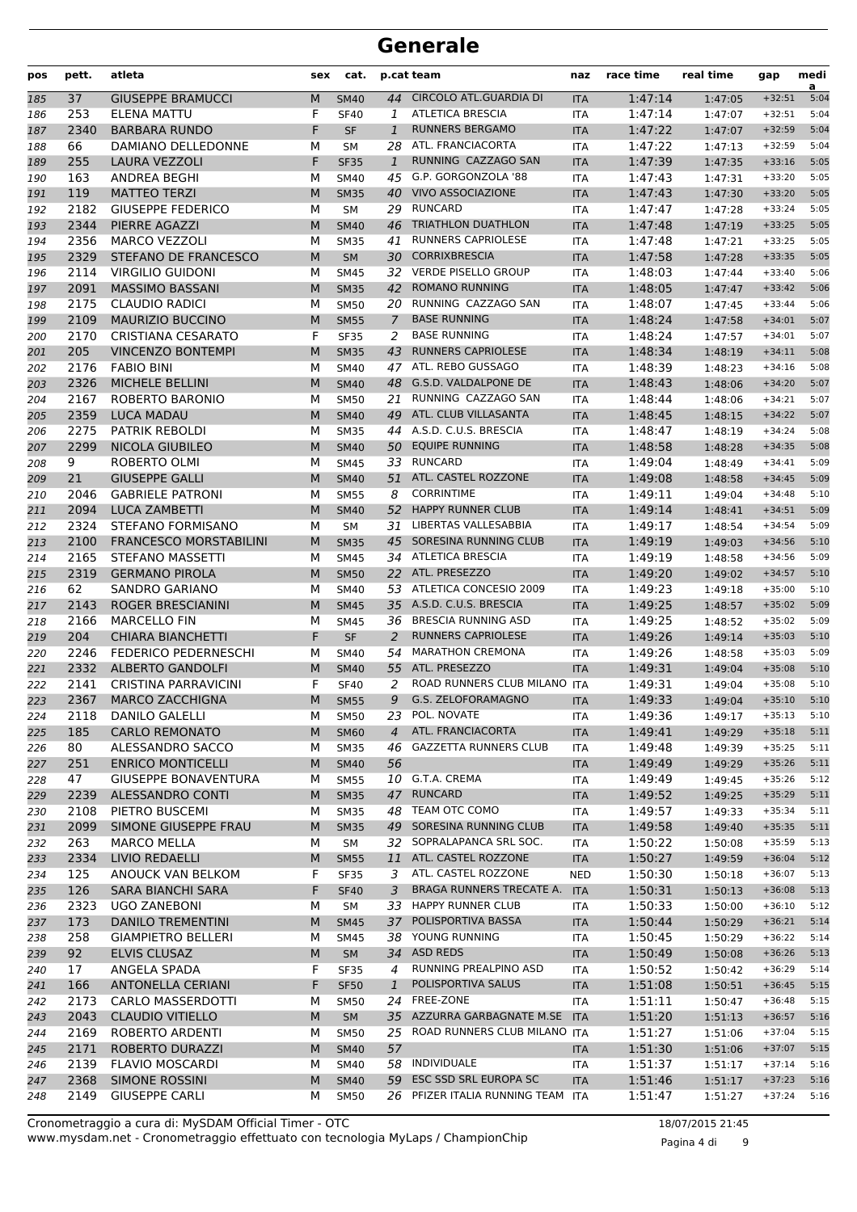| pos        | pett.       | atleta                                        | sex    | cat.                       |                | p.cat team                                    | naz                      | race time          | real time          | gap                  | medi<br>a    |
|------------|-------------|-----------------------------------------------|--------|----------------------------|----------------|-----------------------------------------------|--------------------------|--------------------|--------------------|----------------------|--------------|
| 185        | 37          | <b>GIUSEPPE BRAMUCCI</b>                      | M      | <b>SM40</b>                | 44             | CIRCOLO ATL.GUARDIA DI                        | <b>ITA</b>               | 1:47:14            | 1:47:05            | $+32:51$             | 5:04         |
| 186        | 253         | ELENA MATTU                                   | F      | <b>SF40</b>                | $\mathbf{1}$   | <b>ATLETICA BRESCIA</b>                       | <b>ITA</b>               | 1:47:14            | 1:47:07            | $+32:51$             | 5:04         |
| 187        | 2340        | <b>BARBARA RUNDO</b>                          | F      | <b>SF</b>                  | $\mathbf{1}$   | <b>RUNNERS BERGAMO</b>                        | <b>ITA</b>               | 1:47:22            | 1:47:07            | $+32:59$             | 5:04         |
| 188        | 66          | DAMIANO DELLEDONNE                            | М      | SM                         | 28             | ATL. FRANCIACORTA                             | <b>ITA</b>               | 1:47:22            | 1:47:13            | $+32:59$             | 5:04         |
| 189        | 255         | LAURA VEZZOLI                                 | F      | <b>SF35</b>                | $\mathbf{1}$   | RUNNING CAZZAGO SAN                           | <b>ITA</b>               | 1:47:39            | 1:47:35            | $+33:16$             | 5:05         |
| 190        | 163         | ANDREA BEGHI                                  | М      | <b>SM40</b>                | 45             | G.P. GORGONZOLA '88                           | <b>ITA</b>               | 1:47:43            | 1:47:31            | $+33:20$             | 5:05         |
| 191        | 119         | <b>MATTEO TERZI</b>                           | M      | <b>SM35</b>                | 40             | <b>VIVO ASSOCIAZIONE</b>                      | <b>ITA</b>               | 1:47:43            | 1:47:30            | $+33:20$             | 5:05         |
| 192        | 2182        | <b>GIUSEPPE FEDERICO</b>                      | М      | <b>SM</b>                  |                | 29 RUNCARD                                    | <b>ITA</b>               | 1:47:47            | 1:47:28            | $+33:24$             | 5:05         |
| 193        | 2344        | PIERRE AGAZZI                                 | M      | <b>SM40</b>                | 46             | <b>TRIATHLON DUATHLON</b>                     | <b>ITA</b>               | 1:47:48            | 1:47:19            | $+33:25$             | 5:05         |
| 194        | 2356        | <b>MARCO VEZZOLI</b>                          | М      | <b>SM35</b>                | 41             | RUNNERS CAPRIOLESE                            | <b>ITA</b>               | 1:47:48            | 1:47:21            | $+33:25$             | 5:05         |
| 195        | 2329        | STEFANO DE FRANCESCO                          | M      | <b>SM</b>                  | 30             | <b>CORRIXBRESCIA</b>                          | <b>ITA</b>               | 1:47:58            | 1:47:28            | $+33:35$             | 5:05         |
| 196        | 2114        | <b>VIRGILIO GUIDONI</b>                       | М      | <b>SM45</b>                | 32             | <b>VERDE PISELLO GROUP</b>                    | <b>ITA</b>               | 1:48:03            | 1:47:44            | $+33:40$             | 5:06         |
| 197        | 2091        | <b>MASSIMO BASSANI</b>                        | M      | <b>SM35</b>                | 42             | <b>ROMANO RUNNING</b>                         | <b>ITA</b>               | 1:48:05            | 1:47:47            | $+33:42$             | 5:06         |
| 198        | 2175        | <b>CLAUDIO RADICI</b>                         | М      | <b>SM50</b>                |                | 20 RUNNING CAZZAGO SAN<br><b>BASE RUNNING</b> | <b>ITA</b>               | 1:48:07            | 1:47:45            | $+33:44$             | 5:06         |
| 199        | 2109        | <b>MAURIZIO BUCCINO</b>                       | M<br>F | <b>SM55</b>                | $\overline{7}$ | <b>BASE RUNNING</b>                           | <b>ITA</b>               | 1:48:24            | 1:47:58            | $+34:01$<br>$+34:01$ | 5:07<br>5:07 |
| 200        | 2170<br>205 | <b>CRISTIANA CESARATO</b>                     | M      | <b>SF35</b>                | 2<br>43        | <b>RUNNERS CAPRIOLESE</b>                     | <b>ITA</b>               | 1:48:24<br>1:48:34 | 1:47:57            |                      | 5:08         |
| 201        | 2176        | <b>VINCENZO BONTEMPI</b><br><b>FABIO BINI</b> | М      | <b>SM35</b><br><b>SM40</b> |                | 47 ATL. REBO GUSSAGO                          | <b>ITA</b><br><b>ITA</b> | 1:48:39            | 1:48:19            | $+34:11$<br>$+34:16$ | 5:08         |
| 202<br>203 | 2326        | MICHELE BELLINI                               | M      | <b>SM40</b>                | 48             | G.S.D. VALDALPONE DE                          | <b>ITA</b>               | 1:48:43            | 1:48:23<br>1:48:06 | $+34:20$             | 5:07         |
| 204        | 2167        | ROBERTO BARONIO                               | М      | <b>SM50</b>                |                | 21 RUNNING CAZZAGO SAN                        | <b>ITA</b>               | 1:48:44            | 1:48:06            | $+34:21$             | 5:07         |
| 205        | 2359        | <b>LUCA MADAU</b>                             | M      | <b>SM40</b>                | 49             | ATL. CLUB VILLASANTA                          | <b>ITA</b>               | 1:48:45            | 1:48:15            | $+34:22$             | 5:07         |
| 206        | 2275        | PATRIK REBOLDI                                | М      | <b>SM35</b>                | 44             | A.S.D. C.U.S. BRESCIA                         | <b>ITA</b>               | 1:48:47            | 1:48:19            | $+34:24$             | 5:08         |
| 207        | 2299        | NICOLA GIUBILEO                               | M      | <b>SM40</b>                | 50             | <b>EQUIPE RUNNING</b>                         | <b>ITA</b>               | 1:48:58            | 1:48:28            | $+34:35$             | 5:08         |
| 208        | 9           | ROBERTO OLMI                                  | М      | <b>SM45</b>                | 33             | <b>RUNCARD</b>                                | <b>ITA</b>               | 1:49:04            | 1:48:49            | $+34:41$             | 5:09         |
| 209        | 21          | <b>GIUSEPPE GALLI</b>                         | M      | <b>SM40</b>                | 51             | ATL. CASTEL ROZZONE                           | <b>ITA</b>               | 1:49:08            | 1:48:58            | $+34:45$             | 5:09         |
| 210        | 2046        | <b>GABRIELE PATRONI</b>                       | М      | <b>SM55</b>                | 8              | <b>CORRINTIME</b>                             | <b>ITA</b>               | 1:49:11            | 1:49:04            | $+34:48$             | 5:10         |
| 211        | 2094        | <b>LUCA ZAMBETTI</b>                          | M      | <b>SM40</b>                | 52             | <b>HAPPY RUNNER CLUB</b>                      | <b>ITA</b>               | 1:49:14            | 1:48:41            | $+34:51$             | 5:09         |
| 212        | 2324        | <b>STEFANO FORMISANO</b>                      | М      | <b>SM</b>                  | 31             | LIBERTAS VALLESABBIA                          | <b>ITA</b>               | 1:49:17            | 1:48:54            | $+34:54$             | 5:09         |
| 213        | 2100        | <b>FRANCESCO MORSTABILINI</b>                 | M      | <b>SM35</b>                | 45             | SORESINA RUNNING CLUB                         | <b>ITA</b>               | 1:49:19            | 1:49:03            | $+34:56$             | 5:10         |
| 214        | 2165        | STEFANO MASSETTI                              | м      | <b>SM45</b>                |                | 34 ATLETICA BRESCIA                           | <b>ITA</b>               | 1:49:19            | 1:48:58            | $+34:56$             | 5:09         |
| 215        | 2319        | <b>GERMANO PIROLA</b>                         | M      | <b>SM50</b>                |                | 22 ATL. PRESEZZO                              | <b>ITA</b>               | 1:49:20            | 1:49:02            | $+34:57$             | 5:10         |
| 216        | 62          | SANDRO GARIANO                                | М      | <b>SM40</b>                |                | 53 ATLETICA CONCESIO 2009                     | <b>ITA</b>               | 1:49:23            | 1:49:18            | $+35:00$             | 5:10         |
| 217        | 2143        | ROGER BRESCIANINI                             | M      | <b>SM45</b>                |                | 35 A.S.D. C.U.S. BRESCIA                      | <b>ITA</b>               | 1:49:25            | 1:48:57            | $+35:02$             | 5:09         |
| 218        | 2166        | <b>MARCELLO FIN</b>                           | М      | <b>SM45</b>                | 36             | <b>BRESCIA RUNNING ASD</b>                    | <b>ITA</b>               | 1:49:25            | 1:48:52            | $+35:02$             | 5:09         |
| 219        | 204         | <b>CHIARA BIANCHETTI</b>                      | F      | <b>SF</b>                  | 2              | <b>RUNNERS CAPRIOLESE</b>                     | <b>ITA</b>               | 1:49:26            | 1:49:14            | $+35:03$             | 5:10         |
| 220        | 2246        | FEDERICO PEDERNESCHI                          | м      | <b>SM40</b>                | 54             | <b>MARATHON CREMONA</b>                       | <b>ITA</b>               | 1:49:26            | 1:48:58            | $+35:03$             | 5:09         |
| 221        | 2332        | <b>ALBERTO GANDOLFI</b>                       | M      | <b>SM40</b>                | 55             | ATL. PRESEZZO                                 | <b>ITA</b>               | 1:49:31            | 1:49:04            | $+35:08$             | 5:10         |
| 222        | 2141        | CRISTINA PARRAVICINI                          | F      | <b>SF40</b>                | 2              | ROAD RUNNERS CLUB MILANO ITA                  |                          | 1:49:31            | 1:49:04            | $+35:08$             | 5:10         |
| 223        | 2367        | <b>MARCO ZACCHIGNA</b>                        | М      | <b>SM55</b>                | 9              | G.S. ZELOFORAMAGNO                            | <b>ITA</b>               | 1:49:33            | 1:49:04            | $+35:10$             | 5:10         |
| 224        | 2118        | <b>DANILO GALELLI</b>                         | М      | <b>SM50</b>                | 23             | POL. NOVATE                                   | ITA                      | 1:49:36            | 1:49:17            | $+35:13$             | 5:10         |
| 225        | 185         | <b>CARLO REMONATO</b>                         | M      | <b>SM60</b>                | $\overline{4}$ | ATL. FRANCIACORTA                             | <b>ITA</b>               | 1:49:41            | 1:49:29            | $+35:18$             | 5:11         |
| 226        | 80          | ALESSANDRO SACCO                              | м      | <b>SM35</b>                | 46             | <b>GAZZETTA RUNNERS CLUB</b>                  | ITA                      | 1:49:48            | 1:49:39            | $+35:25$             | 5:11         |
| 227        | 251         | <b>ENRICO MONTICELLI</b>                      | M      | <b>SM40</b>                | 56             |                                               | <b>ITA</b>               | 1:49:49            | 1:49:29            | $+35:26$             | 5:11         |
| 228        | 47          | <b>GIUSEPPE BONAVENTURA</b>                   | М      | <b>SM55</b>                |                | 10 G.T.A. CREMA                               | ITA                      | 1:49:49            | 1:49:45            | $+35:26$             | 5:12         |
| 229        | 2239        | ALESSANDRO CONTI                              | M      | <b>SM35</b>                | 47             | <b>RUNCARD</b><br>TEAM OTC COMO               | <b>ITA</b>               | 1:49:52            | 1:49:25            | $+35:29$             | 5:11         |
| 230        | 2108        | PIETRO BUSCEMI                                | М      | <b>SM35</b>                | 48             | 49 SORESINA RUNNING CLUB                      | ITA                      | 1:49:57            | 1:49:33            | $+35:34$             | 5:11         |
| 231        | 2099        | SIMONE GIUSEPPE FRAU                          | M      | <b>SM35</b>                |                | 32 SOPRALAPANCA SRL SOC.                      | <b>ITA</b>               | 1:49:58            | 1:49:40            | $+35:35$<br>$+35:59$ | 5:11<br>5:13 |
| 232        | 263<br>2334 | <b>MARCO MELLA</b><br><b>LIVIO REDAELLI</b>   | м      | SM<br><b>SM55</b>          | 11             | ATL. CASTEL ROZZONE                           | ITA<br><b>ITA</b>        | 1:50:22            | 1:50:08            | $+36:04$             | 5:12         |
| 233<br>234 | 125         | ANOUCK VAN BELKOM                             | М<br>F | <b>SF35</b>                | 3              | ATL. CASTEL ROZZONE                           | <b>NED</b>               | 1:50:27<br>1:50:30 | 1:49:59<br>1:50:18 | $+36:07$             | 5:13         |
| 235        | 126         | <b>SARA BIANCHI SARA</b>                      | F      | <b>SF40</b>                | 3              | BRAGA RUNNERS TRECATE A.                      | <b>ITA</b>               | 1:50:31            | 1:50:13            | $+36:08$             | 5:13         |
| 236        | 2323        | <b>UGO ZANEBONI</b>                           | М      | SM                         | 33             | <b>HAPPY RUNNER CLUB</b>                      | ITA                      | 1:50:33            | 1:50:00            | $+36:10$             | 5:12         |
| 237        | 173         | <b>DANILO TREMENTINI</b>                      | M      | <b>SM45</b>                | 37             | POLISPORTIVA BASSA                            | <b>ITA</b>               | 1:50:44            | 1:50:29            | $+36:21$             | 5:14         |
| 238        | 258         | <b>GIAMPIETRO BELLERI</b>                     | м      | <b>SM45</b>                |                | 38 YOUNG RUNNING                              | ITA                      | 1:50:45            | 1:50:29            | $+36:22$             | 5:14         |
| 239        | 92          | ELVIS CLUSAZ                                  | M      | SM                         |                | 34 ASD REDS                                   | <b>ITA</b>               | 1:50:49            | 1:50:08            | $+36:26$             | 5:13         |
| 240        | 17          | ANGELA SPADA                                  | F      | <b>SF35</b>                | 4              | RUNNING PREALPINO ASD                         | <b>ITA</b>               | 1:50:52            | 1:50:42            | $+36:29$             | 5:14         |
| 241        | 166         | <b>ANTONELLA CERIANI</b>                      | F      | <b>SF50</b>                | $\mathbf{1}$   | POLISPORTIVA SALUS                            | <b>ITA</b>               | 1:51:08            | 1:50:51            | $+36:45$             | 5:15         |
| 242        | 2173        | CARLO MASSERDOTTI                             | м      | <b>SM50</b>                | 24             | FREE-ZONE                                     | ITA                      | 1:51:11            | 1:50:47            | $+36:48$             | 5:15         |
| 243        | 2043        | <b>CLAUDIO VITIELLO</b>                       | M      | <b>SM</b>                  |                | 35 AZZURRA GARBAGNATE M.SE ITA                |                          | 1:51:20            | 1:51:13            | $+36:57$             | 5:16         |
| 244        | 2169        | ROBERTO ARDENTI                               | м      | <b>SM50</b>                |                | 25 ROAD RUNNERS CLUB MILANO ITA               |                          | 1:51:27            | 1:51:06            | $+37:04$             | 5:15         |
| 245        | 2171        | ROBERTO DURAZZI                               | M      | <b>SM40</b>                | 57             |                                               | <b>ITA</b>               | 1:51:30            | 1:51:06            | $+37:07$             | 5:15         |
| 246        | 2139        | <b>FLAVIO MOSCARDI</b>                        | М      | SM40                       |                | 58 INDIVIDUALE                                | <b>ITA</b>               | 1:51:37            | 1:51:17            | $+37:14$             | 5:16         |
| 247        | 2368        | SIMONE ROSSINI                                | М      | <b>SM40</b>                | 59             | ESC SSD SRL EUROPA SC                         | <b>ITA</b>               | 1:51:46            | 1:51:17            | $+37:23$             | 5:16         |
| 248        | 2149        | <b>GIUSEPPE CARLI</b>                         | м      | <b>SM50</b>                |                | 26 PFIZER ITALIA RUNNING TEAM                 | ITA                      | 1:51:47            | 1:51:27            | $+37:24$             | 5:16         |

www.mysdam.net - Cronometraggio effettuato con tecnologia MyLaps / ChampionChip Cronometraggio a cura di: MySDAM Official Timer - OTC 18/07/2015 21:45

Pagina 4 di 9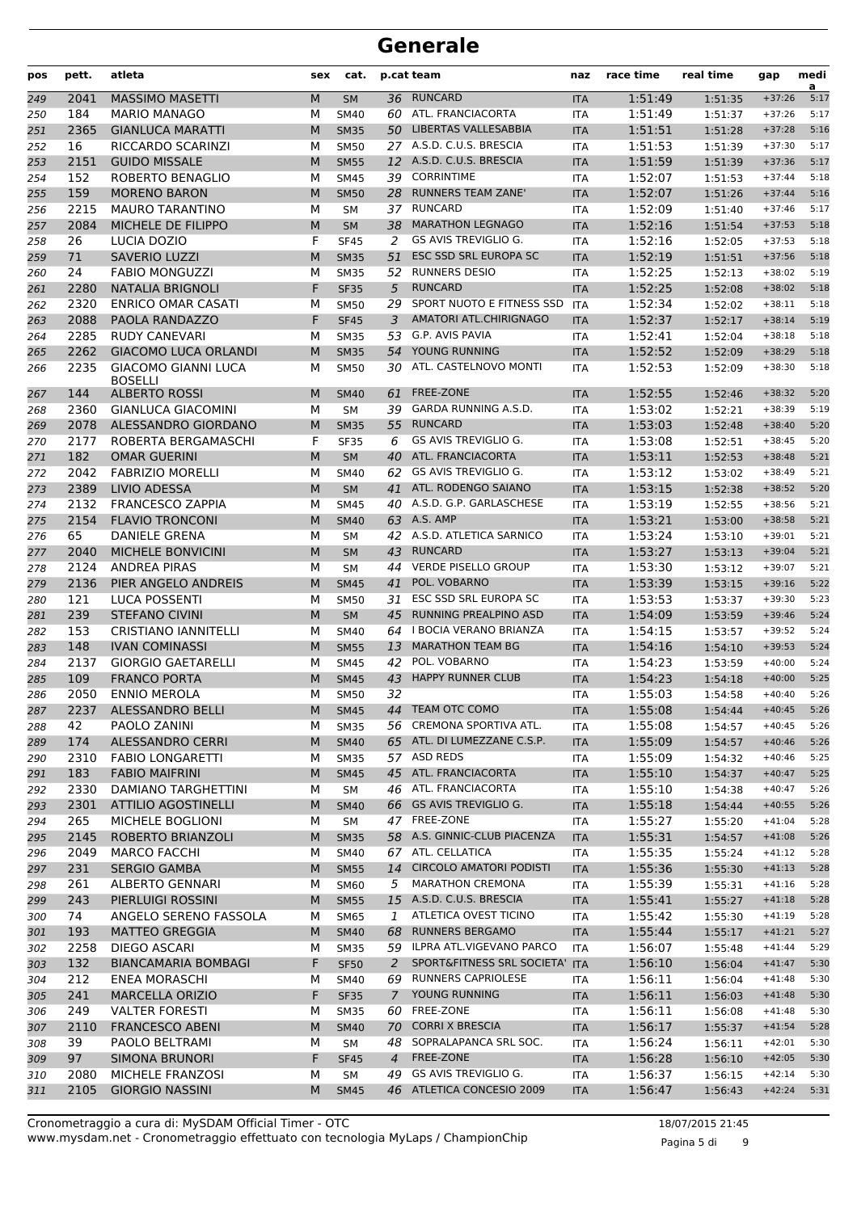| pos        | pett. | atleta                                       | sex    | cat.                       |                | p.cat team                     | naz               | race time | real time          | gap      | medi<br>a |
|------------|-------|----------------------------------------------|--------|----------------------------|----------------|--------------------------------|-------------------|-----------|--------------------|----------|-----------|
| 249        | 2041  | <b>MASSIMO MASETTI</b>                       | M      | <b>SM</b>                  |                | 36 RUNCARD                     | <b>ITA</b>        | 1:51:49   | 1:51:35            | $+37:26$ | 5:17      |
| 250        | 184   | <b>MARIO MANAGO</b>                          | М      | <b>SM40</b>                |                | 60 ATL. FRANCIACORTA           | <b>ITA</b>        | 1:51:49   | 1:51:37            | $+37:26$ | 5:17      |
| 251        | 2365  | <b>GIANLUCA MARATTI</b>                      | M      | <b>SM35</b>                |                | 50 LIBERTAS VALLESABBIA        | <b>ITA</b>        | 1:51:51   | 1:51:28            | $+37:28$ | 5:16      |
| 252        | 16    | RICCARDO SCARINZI                            | м      | <b>SM50</b>                |                | 27 A.S.D. C.U.S. BRESCIA       | <b>ITA</b>        | 1:51:53   | 1:51:39            | $+37:30$ | 5:17      |
| 253        | 2151  | <b>GUIDO MISSALE</b>                         | M      | <b>SM55</b>                |                | 12 A.S.D. C.U.S. BRESCIA       | <b>ITA</b>        | 1:51:59   | 1:51:39            | $+37:36$ | 5:17      |
| 254        | 152   | ROBERTO BENAGLIO                             | М      | <b>SM45</b>                |                | 39 CORRINTIME                  | <b>ITA</b>        | 1:52:07   | 1:51:53            | $+37:44$ | 5:18      |
| 255        | 159   | <b>MORENO BARON</b>                          | M      | <b>SM50</b>                | 28             | <b>RUNNERS TEAM ZANE'</b>      | <b>ITA</b>        | 1:52:07   | 1:51:26            | $+37:44$ | 5:16      |
| 256        | 2215  | <b>MAURO TARANTINO</b>                       | М      | <b>SM</b>                  |                | 37 RUNCARD                     | <b>ITA</b>        | 1:52:09   | 1:51:40            | $+37:46$ | 5:17      |
| 257        | 2084  | MICHELE DE FILIPPO                           | M      | <b>SM</b>                  | 38             | <b>MARATHON LEGNAGO</b>        | <b>ITA</b>        | 1:52:16   | 1:51:54            | $+37:53$ | 5:18      |
| 258        | 26    | LUCIA DOZIO                                  | F      | <b>SF45</b>                | 2              | GS AVIS TREVIGLIO G.           | <b>ITA</b>        | 1:52:16   | 1:52:05            | $+37:53$ | 5:18      |
| 259        | 71    | <b>SAVERIO LUZZI</b>                         | M      | <b>SM35</b>                | 51             | ESC SSD SRL EUROPA SC          | <b>ITA</b>        | 1:52:19   | 1:51:51            | $+37:56$ | 5:18      |
| 260        | 24    | <b>FABIO MONGUZZI</b>                        | М      | <b>SM35</b>                | 52             | <b>RUNNERS DESIO</b>           | <b>ITA</b>        | 1:52:25   | 1:52:13            | $+38:02$ | 5:19      |
| 261        | 2280  | <b>NATALIA BRIGNOLI</b>                      | F      | <b>SF35</b>                | 5              | <b>RUNCARD</b>                 | <b>ITA</b>        | 1:52:25   | 1:52:08            | $+38:02$ | 5:18      |
| 262        | 2320  | <b>ENRICO OMAR CASATI</b>                    | М      | <b>SM50</b>                | 29             | SPORT NUOTO E FITNESS SSD      | <b>ITA</b>        | 1:52:34   | 1:52:02            | $+38:11$ | 5:18      |
| 263        | 2088  | PAOLA RANDAZZO                               | F      | <b>SF45</b>                | 3              | AMATORI ATL.CHIRIGNAGO         | <b>ITA</b>        | 1:52:37   | 1:52:17            | $+38:14$ | 5:19      |
| 264        | 2285  | <b>RUDY CANEVARI</b>                         | М      | <b>SM35</b>                | 53             | G.P. AVIS PAVIA                | <b>ITA</b>        | 1:52:41   | 1:52:04            | $+38:18$ | 5:18      |
| 265        | 2262  | <b>GIACOMO LUCA ORLANDI</b>                  | M      | <b>SM35</b>                | 54             | YOUNG RUNNING                  | <b>ITA</b>        | 1:52:52   | 1:52:09            | $+38:29$ | 5:18      |
| 266        | 2235  | <b>GIACOMO GIANNI LUCA</b><br><b>BOSELLI</b> | м      | <b>SM50</b>                |                | 30 ATL. CASTELNOVO MONTI       | <b>ITA</b>        | 1:52:53   | 1:52:09            | $+38:30$ | 5:18      |
| 267        | 144   | <b>ALBERTO ROSSI</b>                         | M      | <b>SM40</b>                | 61             | <b>FREE-ZONE</b>               | <b>ITA</b>        | 1:52:55   | 1:52:46            | $+38:32$ | 5:20      |
| 268        | 2360  | <b>GIANLUCA GIACOMINI</b>                    | М      | <b>SM</b>                  | 39             | <b>GARDA RUNNING A.S.D.</b>    | <b>ITA</b>        | 1:53:02   | 1:52:21            | $+38:39$ | 5:19      |
| 269        | 2078  | ALESSANDRO GIORDANO                          | M      | <b>SM35</b>                | 55             | <b>RUNCARD</b>                 | <b>ITA</b>        | 1:53:03   | 1:52:48            | $+38:40$ | 5:20      |
| 270        | 2177  | ROBERTA BERGAMASCHI                          | F      | <b>SF35</b>                | 6              | GS AVIS TREVIGLIO G.           | <b>ITA</b>        | 1:53:08   | 1:52:51            | $+38:45$ | 5:20      |
| 271        | 182   | <b>OMAR GUERINI</b>                          | M      | <b>SM</b>                  | 40             | ATL. FRANCIACORTA              | <b>ITA</b>        | 1:53:11   | 1:52:53            | $+38:48$ | 5:21      |
| 272        | 2042  | <b>FABRIZIO MORELLI</b>                      | М      | <b>SM40</b>                | 62             | GS AVIS TREVIGLIO G.           | <b>ITA</b>        | 1:53:12   | 1:53:02            | $+38:49$ | 5:21      |
| 273        | 2389  | LIVIO ADESSA                                 | M      | <b>SM</b>                  | 41             | ATL. RODENGO SAIANO            | <b>ITA</b>        | 1:53:15   | 1:52:38            | $+38:52$ | 5:20      |
| 274        | 2132  | <b>FRANCESCO ZAPPIA</b>                      | М      | <b>SM45</b>                |                | 40 A.S.D. G.P. GARLASCHESE     | <b>ITA</b>        | 1:53:19   | 1:52:55            | $+38:56$ | 5:21      |
| 275        | 2154  | <b>FLAVIO TRONCONI</b>                       | M      | <b>SM40</b>                |                | 63 A.S. AMP                    | <b>ITA</b>        | 1:53:21   | 1:53:00            | $+38:58$ | 5:21      |
| 276        | 65    | <b>DANIELE GRENA</b>                         | М      | <b>SM</b>                  |                | 42 A.S.D. ATLETICA SARNICO     | <b>ITA</b>        | 1:53:24   | 1:53:10            | $+39:01$ | 5:21      |
| 277        | 2040  | MICHELE BONVICINI                            | M      | <b>SM</b>                  | 43             | <b>RUNCARD</b>                 | <b>ITA</b>        | 1:53:27   | 1:53:13            | $+39:04$ | 5:21      |
| 278        | 2124  | <b>ANDREA PIRAS</b>                          | M      | <b>SM</b>                  | 44             | <b>VERDE PISELLO GROUP</b>     | <b>ITA</b>        | 1:53:30   | 1:53:12            | $+39:07$ | 5:21      |
| 279        | 2136  | PIER ANGELO ANDREIS                          | M      | <b>SM45</b>                | 41             | POL. VOBARNO                   | <b>ITA</b>        | 1:53:39   | 1:53:15            | $+39:16$ | 5:22      |
| 280        | 121   | <b>LUCA POSSENTI</b>                         | М      | <b>SM50</b>                | 31             | ESC SSD SRL EUROPA SC          | <b>ITA</b>        | 1:53:53   | 1:53:37            | $+39:30$ | 5:23      |
| 281        | 239   | <b>STEFANO CIVINI</b>                        | M      | <b>SM</b>                  | 45             | RUNNING PREALPINO ASD          | <b>ITA</b>        | 1:54:09   | 1:53:59            | $+39:46$ | 5:24      |
| 282        | 153   | <b>CRISTIANO IANNITELLI</b>                  | М      | <b>SM40</b>                | 64             | I BOCIA VERANO BRIANZA         | <b>ITA</b>        | 1:54:15   | 1:53:57            | $+39:52$ | 5:24      |
| 283        | 148   | <b>IVAN COMINASSI</b>                        | M      | <b>SM55</b>                | 13             | <b>MARATHON TEAM BG</b>        | <b>ITA</b>        | 1:54:16   | 1:54:10            | $+39:53$ | 5:24      |
| 284        | 2137  | <b>GIORGIO GAETARELLI</b>                    | М      | <b>SM45</b>                | 42             | POL. VOBARNO                   | <b>ITA</b>        | 1:54:23   | 1:53:59            | $+40:00$ | 5:24      |
| 285        | 109   | <b>FRANCO PORTA</b>                          | M      | <b>SM45</b>                | 43             | <b>HAPPY RUNNER CLUB</b>       | <b>ITA</b>        | 1:54:23   | 1:54:18            | $+40:00$ | 5:25      |
| 286        | 2050  | <b>ENNIO MEROLA</b>                          | м      | <b>SM50</b>                | 32             |                                | <b>ITA</b>        | 1:55:03   | 1:54:58            | $+40:40$ | 5:26      |
| 287        | 2237  | ALESSANDRO BELLI                             | M      | <b>SM45</b>                |                | 44 TEAM OTC COMO               | <b>ITA</b>        | 1:55:08   | 1:54:44            | $+40:45$ | 5:26      |
| 288        | 42    | PAOLO ZANINI                                 | М      | <b>SM35</b>                |                | 56 CREMONA SPORTIVA ATL.       | ITA               | 1:55:08   | 1:54:57            | $+40:45$ | 5:26      |
| 289        | 174   | <b>ALESSANDRO CERRI</b>                      | M      | <b>SM40</b>                |                | 65 ATL. DI LUMEZZANE C.S.P.    | <b>ITA</b>        | 1:55:09   | 1:54:57            | $+40:46$ | 5:26      |
| 290        | 2310  | <b>FABIO LONGARETTI</b>                      | М      | <b>SM35</b>                |                | 57 ASD REDS                    | ITA               | 1:55:09   | 1:54:32            | $+40:46$ | 5:25      |
| 291        | 183   | <b>FABIO MAIFRINI</b>                        | M      | <b>SM45</b>                |                | 45 ATL. FRANCIACORTA           | <b>ITA</b>        | 1:55:10   | 1:54:37            | $+40:47$ | 5:25      |
| 292        | 2330  | DAMIANO TARGHETTINI                          | М      | SM                         |                | 46 ATL. FRANCIACORTA           | <b>ITA</b>        | 1:55:10   | 1:54:38            | $+40:47$ | 5:26      |
| 293        | 2301  | <b>ATTILIO AGOSTINELLI</b>                   | М      | <b>SM40</b>                |                | 66 GS AVIS TREVIGLIO G.        | <b>ITA</b>        | 1:55:18   | 1:54:44            | $+40:55$ | 5:26      |
| 294        | 265   | MICHELE BOGLIONI                             | М      | SM                         |                | 47 FREE-ZONE                   | ITA               | 1:55:27   | 1:55:20            | $+41:04$ | 5:28      |
| 295        | 2145  | ROBERTO BRIANZOLI                            | М      | <b>SM35</b>                |                | 58 A.S. GINNIC-CLUB PIACENZA   | <b>ITA</b>        | 1:55:31   | 1:54:57            | $+41:08$ | 5:26      |
| 296        | 2049  | <b>MARCO FACCHI</b>                          | М      | SM40                       |                | 67 ATL. CELLATICA              | ITA               | 1:55:35   | 1:55:24            | $+41:12$ | 5:28      |
| 297        | 231   | <b>SERGIO GAMBA</b>                          | M      | <b>SM55</b>                | 14             | <b>CIRCOLO AMATORI PODISTI</b> | <b>ITA</b>        | 1:55:36   | 1:55:30            | $+41:13$ | 5:28      |
| 298        | 261   | <b>ALBERTO GENNARI</b>                       | М      | <b>SM60</b>                | 5              | <b>MARATHON CREMONA</b>        | ITA               | 1:55:39   | 1:55:31            | $+41:16$ | 5:28      |
| 299        | 243   | PIERLUIGI ROSSINI                            | M      | <b>SM55</b>                |                | 15 A.S.D. C.U.S. BRESCIA       | <b>ITA</b>        | 1:55:41   | 1:55:27            | $+41:18$ | 5:28      |
| 300        | 74    | ANGELO SERENO FASSOLA                        | М      | <b>SM65</b>                | 1              | ATLETICA OVEST TICINO          | ITA               | 1:55:42   | 1:55:30            | $+41:19$ | 5:28      |
| 301        | 193   | <b>MATTEO GREGGIA</b>                        | M      | <b>SM40</b>                | 68             | <b>RUNNERS BERGAMO</b>         | <b>ITA</b>        | 1:55:44   | 1:55:17            | $+41:21$ | 5:27      |
|            | 2258  | DIEGO ASCARI                                 | М      |                            |                | 59 ILPRA ATL.VIGEVANO PARCO    | <b>ITA</b>        | 1:56:07   |                    | $+41:44$ | 5:29      |
| 302<br>303 | 132   | <b>BIANCAMARIA BOMBAGI</b>                   | F      | <b>SM35</b><br><b>SF50</b> | 2              | SPORT&FITNESS SRL SOCIETA' ITA |                   | 1:56:10   | 1:55:48<br>1:56:04 | $+41:47$ | 5:30      |
|            | 212   | <b>ENEA MORASCHI</b>                         | М      | SM40                       |                | 69 RUNNERS CAPRIOLESE          | ITA               | 1:56:11   | 1:56:04            | $+41:48$ | 5:30      |
| 304        | 241   | <b>MARCELLA ORIZIO</b>                       | F      | <b>SF35</b>                | $7^{\circ}$    | YOUNG RUNNING                  |                   | 1:56:11   |                    | $+41:48$ | 5:30      |
| 305        | 249   | <b>VALTER FORESTI</b>                        |        | <b>SM35</b>                |                | 60 FREE-ZONE                   | <b>ITA</b>        | 1:56:11   | 1:56:03            | $+41:48$ | 5:30      |
| 306<br>307 | 2110  | <b>FRANCESCO ABENI</b>                       | М<br>M | <b>SM40</b>                | 70             | <b>CORRI X BRESCIA</b>         | ITA<br><b>ITA</b> | 1:56:17   | 1:56:08<br>1:55:37 | $+41:54$ | 5:28      |
|            | 39    | PAOLO BELTRAMI                               | М      |                            | 48             | SOPRALAPANCA SRL SOC.          |                   | 1:56:24   |                    | $+42:01$ | 5:30      |
| 308        |       |                                              | F      | SM                         | $\overline{4}$ | FREE-ZONE                      | ITA               |           | 1:56:11            | $+42:05$ | 5:30      |
| 309        | 97    | <b>SIMONA BRUNORI</b>                        |        | <b>SF45</b>                | 49             | GS AVIS TREVIGLIO G.           | <b>ITA</b>        | 1:56:28   | 1:56:10            | $+42:14$ | 5:30      |
| 310        | 2080  | MICHELE FRANZOSI                             | М      | SM                         |                | 46 ATLETICA CONCESIO 2009      | ITA               | 1:56:37   | 1:56:15            |          |           |
| 311        | 2105  | <b>GIORGIO NASSINI</b>                       | М      | <b>SM45</b>                |                |                                | <b>ITA</b>        | 1:56:47   | 1:56:43            | $+42:24$ | 5:31      |

Pagina 5 di 9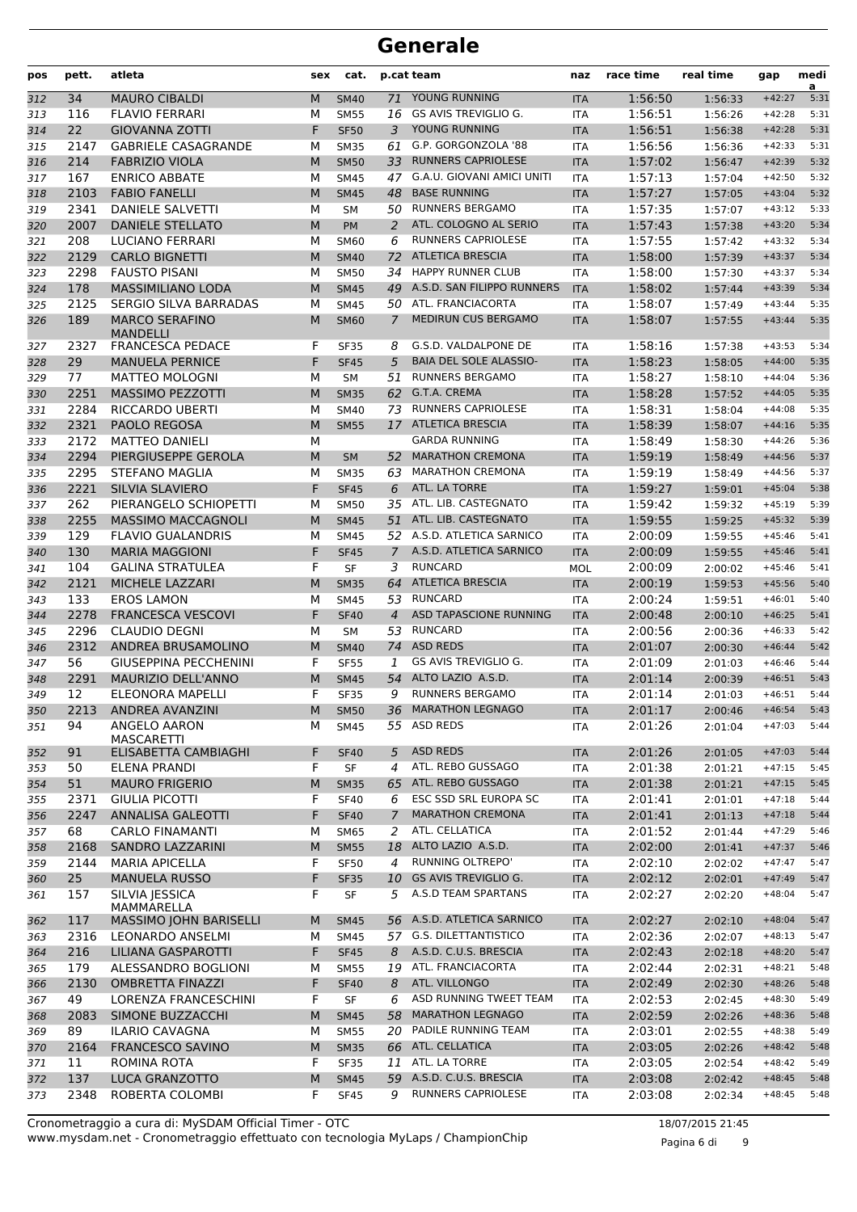| pos | pett. | atleta                                           | sex       | cat.        |                | p.cat team                                    | naz        | race time | real time | gap                  | medi<br>a |
|-----|-------|--------------------------------------------------|-----------|-------------|----------------|-----------------------------------------------|------------|-----------|-----------|----------------------|-----------|
| 312 | 34    | <b>MAURO CIBALDI</b>                             | M         | <b>SM40</b> | 71             | YOUNG RUNNING                                 | <b>ITA</b> | 1:56:50   | 1:56:33   | $+42:27$             | 5:31      |
| 313 | 116   | <b>FLAVIO FERRARI</b>                            | М         | <b>SM55</b> | 16             | GS AVIS TREVIGLIO G.                          | <b>ITA</b> | 1:56:51   | 1:56:26   | $+42:28$             | 5:31      |
| 314 | 22    | <b>GIOVANNA ZOTTI</b>                            | F         | <b>SF50</b> | 3              | YOUNG RUNNING                                 | <b>ITA</b> | 1:56:51   | 1:56:38   | $+42:28$             | 5:31      |
| 315 | 2147  | <b>GABRIELE CASAGRANDE</b>                       | м         | <b>SM35</b> | 61             | G.P. GORGONZOLA '88                           | <b>ITA</b> | 1:56:56   | 1:56:36   | $+42:33$             | 5:31      |
| 316 | 214   | <b>FABRIZIO VIOLA</b>                            | M         | <b>SM50</b> | 33             | <b>RUNNERS CAPRIOLESE</b>                     | <b>ITA</b> | 1:57:02   | 1:56:47   | $+42:39$             | 5:32      |
| 317 | 167   | <b>ENRICO ABBATE</b>                             | м         | <b>SM45</b> | 47             | G.A.U. GIOVANI AMICI UNITI                    | <b>ITA</b> | 1:57:13   | 1:57:04   | $+42:50$             | 5:32      |
| 318 | 2103  | <b>FABIO FANELLI</b>                             | M         | <b>SM45</b> | 48             | <b>BASE RUNNING</b>                           | <b>ITA</b> | 1:57:27   | 1:57:05   | $+43:04$             | 5:32      |
| 319 | 2341  | DANIELE SALVETTI                                 | М         | <b>SM</b>   |                | 50 RUNNERS BERGAMO                            | <b>ITA</b> | 1:57:35   | 1:57:07   | $+43:12$             | 5:33      |
| 320 | 2007  | <b>DANIELE STELLATO</b>                          | M         | <b>PM</b>   | 2              | ATL. COLOGNO AL SERIO                         | <b>ITA</b> | 1:57:43   | 1:57:38   | $+43:20$             | 5:34      |
| 321 | 208   | LUCIANO FERRARI                                  | М         | <b>SM60</b> | 6              | <b>RUNNERS CAPRIOLESE</b>                     | <b>ITA</b> | 1:57:55   | 1:57:42   | $+43:32$             | 5:34      |
| 322 | 2129  | <b>CARLO BIGNETTI</b>                            | M         | <b>SM40</b> | 72             | <b>ATLETICA BRESCIA</b>                       | <b>ITA</b> | 1:58:00   | 1:57:39   | $+43:37$             | 5:34      |
| 323 | 2298  | <b>FAUSTO PISANI</b>                             | М         | <b>SM50</b> | 34             | <b>HAPPY RUNNER CLUB</b>                      | <b>ITA</b> | 1:58:00   | 1:57:30   | $+43:37$             | 5:34      |
| 324 | 178   | <b>MASSIMILIANO LODA</b>                         | M         | <b>SM45</b> |                | 49 A.S.D. SAN FILIPPO RUNNERS                 | <b>ITA</b> | 1:58:02   | 1:57:44   | $+43:39$             | 5:34      |
| 325 | 2125  | <b>SERGIO SILVA BARRADAS</b>                     | М         | <b>SM45</b> |                | 50 ATL. FRANCIACORTA                          | <b>ITA</b> | 1:58:07   | 1:57:49   | $+43:44$             | 5:35      |
| 326 | 189   | <b>MARCO SERAFINO</b><br><b>MANDELLI</b>         | M         | <b>SM60</b> | 7              | MEDIRUN CUS BERGAMO                           | <b>ITA</b> | 1:58:07   | 1:57:55   | $+43:44$             | 5:35      |
| 327 | 2327  | <b>FRANCESCA PEDACE</b>                          | F         | <b>SF35</b> | 8              | G.S.D. VALDALPONE DE                          | <b>ITA</b> | 1:58:16   | 1:57:38   | $+43:53$             | 5:34      |
| 328 | 29    | <b>MANUELA PERNICE</b>                           | F         | <b>SF45</b> | 5              | <b>BAIA DEL SOLE ALASSIO-</b>                 | <b>ITA</b> | 1:58:23   | 1:58:05   | $+44:00$             | 5:35      |
| 329 | 77    | <b>MATTEO MOLOGNI</b>                            | М         | <b>SM</b>   | 51             | <b>RUNNERS BERGAMO</b>                        | <b>ITA</b> | 1:58:27   | 1:58:10   | $+44:04$             | 5:36      |
| 330 | 2251  | <b>MASSIMO PEZZOTTI</b>                          | M         | <b>SM35</b> | 62             | G.T.A. CREMA                                  | <b>ITA</b> | 1:58:28   | 1:57:52   | $+44:05$             | 5:35      |
| 331 | 2284  | RICCARDO UBERTI                                  | М         | <b>SM40</b> | 73             | <b>RUNNERS CAPRIOLESE</b>                     | <b>ITA</b> | 1:58:31   | 1:58:04   | $+44:08$             | 5:35      |
| 332 | 2321  | PAOLO REGOSA                                     | M         | <b>SM55</b> |                | 17 ATLETICA BRESCIA                           | <b>ITA</b> | 1:58:39   | 1:58:07   | $+44:16$             | 5:35      |
| 333 | 2172  | <b>MATTEO DANIELI</b>                            | М         |             |                | <b>GARDA RUNNING</b>                          | <b>ITA</b> | 1:58:49   | 1:58:30   | $+44:26$             | 5:36      |
| 334 | 2294  | PIERGIUSEPPE GEROLA                              | M         | <b>SM</b>   | 52             | <b>MARATHON CREMONA</b>                       | <b>ITA</b> | 1:59:19   | 1:58:49   | $+44:56$             | 5:37      |
| 335 | 2295  | <b>STEFANO MAGLIA</b>                            | М         | <b>SM35</b> | 63             | <b>MARATHON CREMONA</b>                       | <b>ITA</b> | 1:59:19   | 1:58:49   | $+44:56$             | 5:37      |
| 336 | 2221  | <b>SILVIA SLAVIERO</b>                           | F         | <b>SF45</b> | 6              | ATL. LA TORRE                                 | <b>ITA</b> | 1:59:27   | 1:59:01   | $+45:04$             | 5:38      |
| 337 | 262   | PIERANGELO SCHIOPETTI                            | М         | <b>SM50</b> |                | 35 ATL. LIB. CASTEGNATO                       | <b>ITA</b> | 1:59:42   | 1:59:32   | $+45:19$             | 5:39      |
| 338 | 2255  | <b>MASSIMO MACCAGNOLI</b>                        | M         | <b>SM45</b> |                | 51 ATL. LIB. CASTEGNATO                       | <b>ITA</b> | 1:59:55   | 1:59:25   | $+45:32$             | 5:39      |
| 339 | 129   | <b>FLAVIO GUALANDRIS</b>                         | М         | <b>SM45</b> |                | 52 A.S.D. ATLETICA SARNICO                    | <b>ITA</b> | 2:00:09   | 1:59:55   | $+45:46$             | 5:41      |
| 340 | 130   | <b>MARIA MAGGIONI</b>                            | F         | <b>SF45</b> | $\overline{7}$ | A.S.D. ATLETICA SARNICO                       | <b>ITA</b> | 2:00:09   | 1:59:55   | $+45:46$             | 5:41      |
| 341 | 104   | <b>GALINA STRATULEA</b>                          | F         | <b>SF</b>   | 3              | <b>RUNCARD</b>                                | MOL        | 2:00:09   | 2:00:02   | $+45:46$             | 5:41      |
| 342 | 2121  | MICHELE LAZZARI                                  | M         | <b>SM35</b> | 64             | <b>ATLETICA BRESCIA</b>                       | <b>ITA</b> | 2:00:19   | 1:59:53   | $+45:56$             | 5:40      |
| 343 | 133   | <b>EROS LAMON</b>                                | М         | SM45        |                | 53 RUNCARD                                    | <b>ITA</b> | 2:00:24   | 1:59:51   | $+46:01$             | 5:40      |
| 344 | 2278  | <b>FRANCESCA VESCOVI</b>                         | F         | <b>SF40</b> | $\overline{4}$ | ASD TAPASCIONE RUNNING                        | <b>ITA</b> | 2:00:48   | 2:00:10   | $+46:25$             | 5:41      |
| 345 | 2296  | <b>CLAUDIO DEGNI</b>                             | М         | <b>SM</b>   | 53             | RUNCARD                                       | <b>ITA</b> | 2:00:56   | 2:00:36   | $+46:33$             | 5:42      |
| 346 | 2312  | ANDREA BRUSAMOLINO                               | M         | <b>SM40</b> | 74             | <b>ASD REDS</b>                               | <b>ITA</b> | 2:01:07   | 2:00:30   | $+46:44$             | 5:42      |
| 347 | 56    | <b>GIUSEPPINA PECCHENINI</b>                     | F         | <b>SF55</b> | 1              | GS AVIS TREVIGLIO G.                          | <b>ITA</b> | 2:01:09   | 2:01:03   | $+46:46$             | 5:44      |
| 348 | 2291  | <b>MAURIZIO DELL'ANNO</b>                        | M         | <b>SM45</b> | 54             | ALTO LAZIO A.S.D.                             | <b>ITA</b> | 2:01:14   | 2:00:39   | $+46:51$             | 5:43      |
| 349 | 12    | ELEONORA MAPELLI                                 | F         | <b>SF35</b> | 9              | <b>RUNNERS BERGAMO</b>                        | <b>ITA</b> | 2:01:14   | 2:01:03   | $+46:51$             | 5:44      |
| 350 | 2213  | ANDREA AVANZINI                                  | ${\sf M}$ | <b>SM50</b> |                | 36 MARATHON LEGNAGO                           | <b>ITA</b> | 2:01:17   | 2:00:46   | $+46:54$             | 5:43      |
| 351 | 94    | ANGELO AARON                                     | М         | <b>SM45</b> |                | 55 ASD REDS                                   | ITA        | 2:01:26   | 2:01:04   | $+47:03$             | 5:44      |
| 352 | 91    | <b>MASCARETTI</b><br><b>ELISABETTA CAMBIAGHI</b> | F         | <b>SF40</b> | 5              | <b>ASD REDS</b>                               | <b>ITA</b> | 2:01:26   | 2:01:05   | $+47:03$             | 5:44      |
| 353 | 50    | ELENA PRANDI                                     | F         | SF          | 4              | ATL. REBO GUSSAGO                             | <b>ITA</b> | 2:01:38   | 2:01:21   | $+47:15$             | 5:45      |
| 354 | 51    | <b>MAURO FRIGERIO</b>                            | М         | <b>SM35</b> | 65             | ATL. REBO GUSSAGO                             | <b>ITA</b> | 2:01:38   | 2:01:21   | $+47:15$             | 5:45      |
| 355 | 2371  | GIULIA PICOTTI                                   | F         | <b>SF40</b> | 6              | ESC SSD SRL EUROPA SC                         | ITA        | 2:01:41   | 2:01:01   | $+47:18$             | 5:44      |
| 356 | 2247  | <b>ANNALISA GALEOTTI</b>                         | F         | <b>SF40</b> | $\overline{7}$ | <b>MARATHON CREMONA</b>                       | <b>ITA</b> | 2:01:41   | 2:01:13   | $+47:18$             | 5:44      |
| 357 | 68    | <b>CARLO FINAMANTI</b>                           | М         | <b>SM65</b> | 2              | ATL. CELLATICA                                | <b>ITA</b> | 2:01:52   | 2:01:44   | $+47:29$             | 5:46      |
| 358 | 2168  | SANDRO LAZZARINI                                 | M         | <b>SM55</b> | 18             | ALTO LAZIO A.S.D.                             | <b>ITA</b> | 2:02:00   | 2:01:41   | $+47:37$             | 5:46      |
| 359 | 2144  | <b>MARIA APICELLA</b>                            | F         | <b>SF50</b> | 4              | <b>RUNNING OLTREPO'</b>                       | ITA        | 2:02:10   | 2:02:02   | $+47:47$             | 5:47      |
|     | 25    | <b>MANUELA RUSSO</b>                             | F         | <b>SF35</b> |                | GS AVIS TREVIGLIO G.                          |            | 2:02:12   |           | $+47:49$             | 5:47      |
| 360 |       |                                                  |           |             | 10             | A.S.D TEAM SPARTANS                           | <b>ITA</b> |           | 2:02:01   |                      | 5:47      |
| 361 | 157   | SILVIA JESSICA<br>MAMMARELLA                     | F         | SF          | 5              | 56 A.S.D. ATLETICA SARNICO                    | ITA        | 2:02:27   | 2:02:20   | $+48:04$<br>$+48:04$ | 5:47      |
| 362 | 117   | MASSIMO JOHN BARISELLI                           | M         | <b>SM45</b> |                |                                               | <b>ITA</b> | 2:02:27   | 2:02:10   |                      |           |
| 363 | 2316  | LEONARDO ANSELMI                                 | М         | <b>SM45</b> |                | 57 G.S. DILETTANTISTICO                       | <b>ITA</b> | 2:02:36   | 2:02:07   | $+48:13$             | 5:47      |
| 364 | 216   | LILIANA GASPAROTTI                               | F         | <b>SF45</b> | 8              | A.S.D. C.U.S. BRESCIA<br>19 ATL. FRANCIACORTA | <b>ITA</b> | 2:02:43   | 2:02:18   | $+48:20$             | 5:47      |
| 365 | 179   | ALESSANDRO BOGLIONI                              | М         | <b>SM55</b> |                |                                               | ITA        | 2:02:44   | 2:02:31   | $+48:21$             | 5:48      |
| 366 | 2130  | <b>OMBRETTA FINAZZI</b>                          | F         | <b>SF40</b> | 8              | ATL. VILLONGO                                 | <b>ITA</b> | 2:02:49   | 2:02:30   | $+48:26$             | 5:48      |
| 367 | 49    | LORENZA FRANCESCHINI                             | F         | SF          | 6              | ASD RUNNING TWEET TEAM                        | ITA        | 2:02:53   | 2:02:45   | $+48:30$             | 5:49      |
| 368 | 2083  | SIMONE BUZZACCHI                                 | M         | <b>SM45</b> | 58             | <b>MARATHON LEGNAGO</b>                       | <b>ITA</b> | 2:02:59   | 2:02:26   | $+48:36$             | 5:48      |
| 369 | 89    | ILARIO CAVAGNA                                   | М         | <b>SM55</b> |                | 20 PADILE RUNNING TEAM                        | ITA        | 2:03:01   | 2:02:55   | $+48:38$             | 5:49      |
| 370 | 2164  | <b>FRANCESCO SAVINO</b>                          | M         | <b>SM35</b> |                | 66 ATL. CELLATICA                             | <b>ITA</b> | 2:03:05   | 2:02:26   | $+48:42$             | 5:48      |
| 371 | 11    | <b>ROMINA ROTA</b>                               | F         | <b>SF35</b> |                | 11 ATL. LA TORRE                              | <b>ITA</b> | 2:03:05   | 2:02:54   | $+48:42$             | 5:49      |
| 372 | 137   | LUCA GRANZOTTO                                   | M         | <b>SM45</b> |                | 59 A.S.D. C.U.S. BRESCIA                      | <b>ITA</b> | 2:03:08   | 2:02:42   | $+48:45$             | 5:48      |
| 373 | 2348  | ROBERTA COLOMBI                                  | F         | <b>SF45</b> | 9              | RUNNERS CAPRIOLESE                            | ITA        | 2:03:08   | 2:02:34   | $+48:45$             | 5:48      |

www.mysdam.net - Cronometraggio effettuato con tecnologia MyLaps / ChampionChip Cronometraggio a cura di: MySDAM Official Timer - OTC 18/07/2015 21:45

Pagina 6 di 9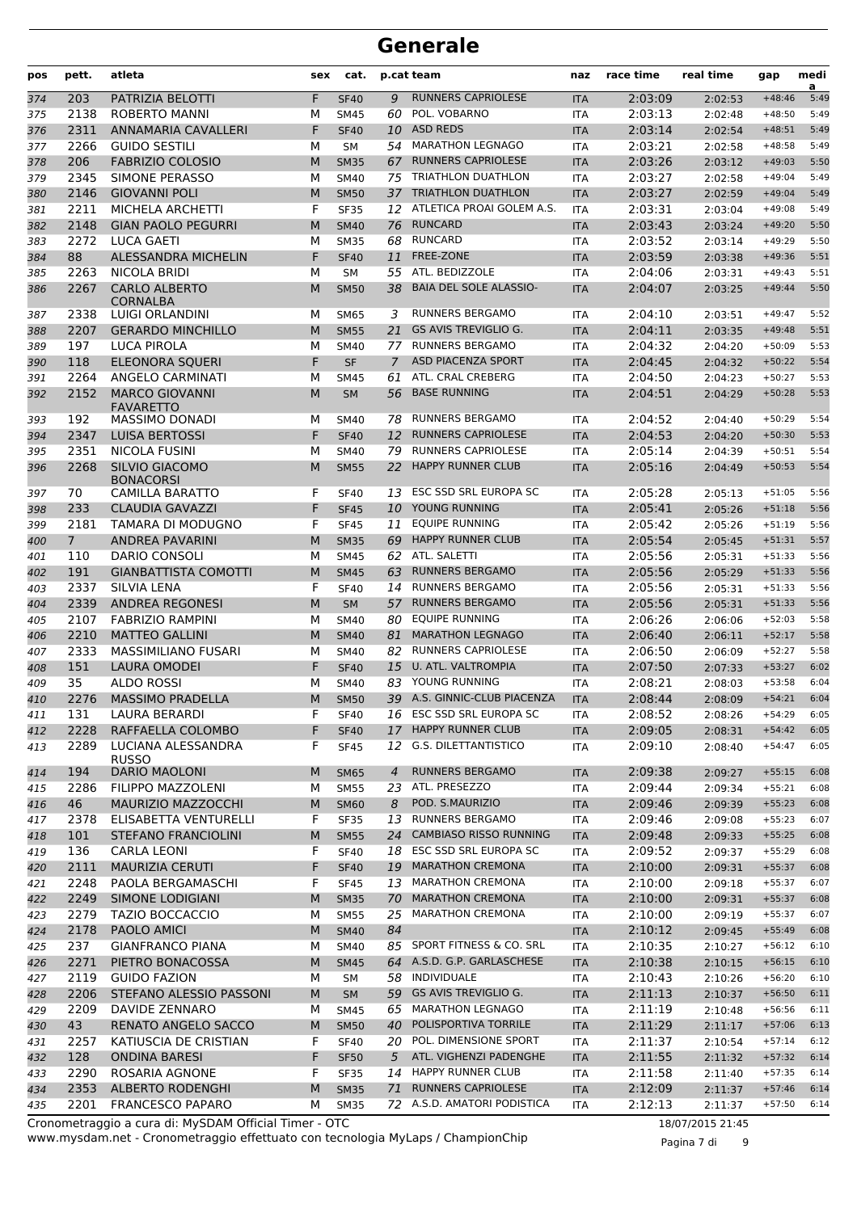| pos        | pett.          | atleta                                           | sex    | cat.                       |          | p.cat team                                            | naz                      | race time          | real time          | gap                  | medi<br>a    |
|------------|----------------|--------------------------------------------------|--------|----------------------------|----------|-------------------------------------------------------|--------------------------|--------------------|--------------------|----------------------|--------------|
| 374        | 203            | PATRIZIA BELOTTI                                 | F      | <b>SF40</b>                | 9        | <b>RUNNERS CAPRIOLESE</b>                             | <b>ITA</b>               | 2:03:09            | 2:02:53            | $+48:46$             | 5:49         |
| 375        | 2138           | <b>ROBERTO MANNI</b>                             | М      | <b>SM45</b>                | 60       | POL. VOBARNO                                          | <b>ITA</b>               | 2:03:13            | 2:02:48            | $+48:50$             | 5:49         |
| 376        | 2311           | <b>ANNAMARIA CAVALLERI</b>                       | F      | <b>SF40</b>                | 10       | <b>ASD REDS</b>                                       | <b>ITA</b>               | 2:03:14            | 2:02:54            | $+48:51$             | 5:49         |
| 377        | 2266           | <b>GUIDO SESTILI</b>                             | М      | <b>SM</b>                  | 54       | <b>MARATHON LEGNAGO</b>                               | <b>ITA</b>               | 2:03:21            | 2:02:58            | $+48:58$             | 5:49         |
| 378        | 206            | <b>FABRIZIO COLOSIO</b>                          | M      | <b>SM35</b>                | 67       | <b>RUNNERS CAPRIOLESE</b>                             | <b>ITA</b>               | 2:03:26            | 2:03:12            | $+49:03$             | 5:50         |
| 379        | 2345           | SIMONE PERASSO                                   | М      | <b>SM40</b>                | 75       | <b>TRIATHLON DUATHLON</b>                             | <b>ITA</b>               | 2:03:27            | 2:02:58            | $+49:04$             | 5:49         |
| 380        | 2146           | <b>GIOVANNI POLI</b>                             | M      | <b>SM50</b>                | 37       | <b>TRIATHLON DUATHLON</b>                             | <b>ITA</b>               | 2:03:27            | 2:02:59            | $+49:04$             | 5:49         |
| 381        | 2211<br>2148   | MICHELA ARCHETTI<br><b>GIAN PAOLO PEGURRI</b>    | F<br>M | <b>SF35</b><br><b>SM40</b> | 76       | 12 ATLETICA PROAI GOLEM A.S.<br><b>RUNCARD</b>        | <b>ITA</b>               | 2:03:31<br>2:03:43 | 2:03:04<br>2:03:24 | $+49:08$<br>$+49:20$ | 5:49<br>5:50 |
| 382        | 2272           | <b>LUCA GAETI</b>                                | M      | <b>SM35</b>                | 68       | <b>RUNCARD</b>                                        | <b>ITA</b>               | 2:03:52            |                    | $+49:29$             | 5:50         |
| 383<br>384 | 88             | ALESSANDRA MICHELIN                              | F      | <b>SF40</b>                | 11       | <b>FREE-ZONE</b>                                      | <b>ITA</b><br><b>ITA</b> | 2:03:59            | 2:03:14<br>2:03:38 | $+49:36$             | 5:51         |
| 385        | 2263           | <b>NICOLA BRIDI</b>                              | М      | <b>SM</b>                  | 55       | ATL. BEDIZZOLE                                        | <b>ITA</b>               | 2:04:06            | 2:03:31            | $+49:43$             | 5:51         |
| 386        | 2267           | <b>CARLO ALBERTO</b><br><b>CORNALBA</b>          | M      | <b>SM50</b>                | 38       | <b>BAIA DEL SOLE ALASSIO-</b>                         | <b>ITA</b>               | 2:04:07            | 2:03:25            | $+49:44$             | 5:50         |
| 387        | 2338           | LUIGI ORLANDINI                                  | М      | <b>SM65</b>                | 3        | <b>RUNNERS BERGAMO</b>                                | <b>ITA</b>               | 2:04:10            | 2:03:51            | $+49:47$             | 5:52         |
| 388        | 2207           | <b>GERARDO MINCHILLO</b>                         | M      | <b>SM55</b>                | 21       | <b>GS AVIS TREVIGLIO G.</b>                           | <b>ITA</b>               | 2:04:11            | 2:03:35            | $+49:48$             | 5:51         |
| 389        | 197            | <b>LUCA PIROLA</b>                               | М      | <b>SM40</b>                | 77       | <b>RUNNERS BERGAMO</b>                                | <b>ITA</b>               | 2:04:32            | 2:04:20            | $+50:09$             | 5:53         |
| 390        | 118            | <b>ELEONORA SOUERI</b>                           | F      | <b>SF</b>                  | 7        | <b>ASD PIACENZA SPORT</b>                             | <b>ITA</b>               | 2:04:45            | 2:04:32            | $+50:22$             | 5:54         |
| 391        | 2264           | <b>ANGELO CARMINATI</b>                          | М      | <b>SM45</b>                | 61       | ATL. CRAL CREBERG                                     | <b>ITA</b>               | 2:04:50            | 2:04:23            | $+50:27$             | 5:53         |
| 392        | 2152           | <b>MARCO GIOVANNI</b><br><b>FAVARETTO</b>        | M      | <b>SM</b>                  | 56       | <b>BASE RUNNING</b>                                   | <b>ITA</b>               | 2:04:51            | 2:04:29            | $+50:28$             | 5:53         |
| 393        | 192            | <b>MASSIMO DONADI</b>                            | М      | <b>SM40</b>                | 78       | <b>RUNNERS BERGAMO</b>                                | <b>ITA</b>               | 2:04:52            | 2:04:40            | $+50:29$             | 5:54         |
| 394        | 2347           | <b>LUISA BERTOSSI</b><br><b>NICOLA FUSINI</b>    | F      | <b>SF40</b>                | 12       | <b>RUNNERS CAPRIOLESE</b>                             | <b>ITA</b>               | 2:04:53            | 2:04:20            | $+50:30$             | 5:53         |
| 395<br>396 | 2351<br>2268   | <b>SILVIO GIACOMO</b>                            | М<br>M | <b>SM40</b><br><b>SM55</b> | 79<br>22 | <b>RUNNERS CAPRIOLESE</b><br><b>HAPPY RUNNER CLUB</b> | <b>ITA</b><br><b>ITA</b> | 2:05:14<br>2:05:16 | 2:04:39<br>2:04:49 | $+50:51$<br>$+50:53$ | 5:54<br>5:54 |
|            | 70             | <b>BONACORSI</b><br>CAMILLA BARATTO              | F      | <b>SF40</b>                | 13       | ESC SSD SRL EUROPA SC                                 | <b>ITA</b>               | 2:05:28            |                    | $+51:05$             | 5:56         |
| 397<br>398 | 233            | <b>CLAUDIA GAVAZZI</b>                           | F      | <b>SF45</b>                | 10       | YOUNG RUNNING                                         | <b>ITA</b>               | 2:05:41            | 2:05:13<br>2:05:26 | $+51:18$             | 5:56         |
| 399        | 2181           | TAMARA DI MODUGNO                                | F      | <b>SF45</b>                | 11       | <b>EQUIPE RUNNING</b>                                 | <b>ITA</b>               | 2:05:42            | 2:05:26            | $+51:19$             | 5:56         |
| 400        | $\overline{7}$ | <b>ANDREA PAVARINI</b>                           | M      | <b>SM35</b>                | 69       | <b>HAPPY RUNNER CLUB</b>                              | <b>ITA</b>               | 2:05:54            | 2:05:45            | $+51:31$             | 5:57         |
| 401        | 110            | <b>DARIO CONSOLI</b>                             | М      | <b>SM45</b>                |          | 62 ATL. SALETTI                                       | <b>ITA</b>               | 2:05:56            | 2:05:31            | $+51:33$             | 5:56         |
| 402        | 191            | <b>GIANBATTISTA COMOTTI</b>                      | M      | <b>SM45</b>                | 63       | <b>RUNNERS BERGAMO</b>                                | <b>ITA</b>               | 2:05:56            | 2:05:29            | $+51:33$             | 5:56         |
| 403        | 2337           | <b>SILVIA LENA</b>                               | F      | <b>SF40</b>                | 14       | <b>RUNNERS BERGAMO</b>                                | <b>ITA</b>               | 2:05:56            | 2:05:31            | $+51:33$             | 5:56         |
| 404        | 2339           | <b>ANDREA REGONESI</b>                           | M      | <b>SM</b>                  | 57       | <b>RUNNERS BERGAMO</b>                                | <b>ITA</b>               | 2:05:56            | 2:05:31            | $+51:33$             | 5:56         |
| 405        | 2107           | <b>FABRIZIO RAMPINI</b>                          | M      | <b>SM40</b>                | 80       | <b>EOUIPE RUNNING</b>                                 | <b>ITA</b>               | 2:06:26            | 2:06:06            | $+52:03$             | 5:58         |
| 406        | 2210           | <b>MATTEO GALLINI</b>                            | M      | <b>SM40</b>                | 81       | <b>MARATHON LEGNAGO</b>                               | <b>ITA</b>               | 2:06:40            | 2:06:11            | $+52:17$             | 5:58         |
| 407        | 2333           | <b>MASSIMILIANO FUSARI</b>                       | М      | <b>SM40</b>                | 82       | <b>RUNNERS CAPRIOLESE</b>                             | <b>ITA</b>               | 2:06:50            | 2:06:09            | $+52:27$             | 5:58         |
| 408        | 151            | <b>LAURA OMODEI</b>                              | F      | <b>SF40</b>                | 15       | U. ATL. VALTROMPIA                                    | <b>ITA</b>               | 2:07:50            | 2:07:33            | $+53:27$             | 6:02         |
| 409        | 35             | <b>ALDO ROSSI</b>                                | М      | <b>SM40</b>                | 83       | YOUNG RUNNING                                         | <b>ITA</b>               | 2:08:21            | 2:08:03            | $+53:58$             | 6:04         |
| 410        | 2276           | <b>MASSIMO PRADELLA</b>                          | M      | <b>SM50</b>                |          | 39 A.S. GINNIC-CLUB PIACENZA                          | <b>ITA</b>               | 2:08:44            | 2:08:09            | $+54:21$             | 6:04         |
| 411        | 131            | <b>LAURA BERARDI</b>                             | F      | <b>SF40</b>                |          | 16 ESC SSD SRL EUROPA SC                              | ITA                      | 2:08:52            | 2:08:26            | $+54:29$             | 6:05         |
| 412        | 2228           | RAFFAELLA COLOMBO                                | F      | <b>SF40</b>                | 17       | <b>HAPPY RUNNER CLUB</b>                              | <b>ITA</b>               | 2:09:05            | 2:08:31            | $+54:42$             | 6:05         |
| 413        | 2289           | LUCIANA ALESSANDRA<br><b>RUSSO</b>               | F      | <b>SF45</b>                | 12       | <b>G.S. DILETTANTISTICO</b><br><b>RUNNERS BERGAMO</b> | ITA                      | 2:09:10            | 2:08:40            | $+54:47$             | 6:05         |
| 414        | 194            | <b>DARIO MAOLONI</b><br><b>FILIPPO MAZZOLENI</b> | M      | <b>SM65</b>                | 4        | 23 ATL. PRESEZZO                                      | <b>ITA</b>               | 2:09:38            | 2:09:27            | $+55:15$             | 6:08<br>6:08 |
| 415        | 2286<br>46     | <b>MAURIZIO MAZZOCCHI</b>                        | М<br>M | <b>SM55</b><br><b>SM60</b> | 8        | POD. S.MAURIZIO                                       | <b>ITA</b>               | 2:09:44<br>2:09:46 | 2:09:34            | $+55:21$<br>$+55:23$ | 6:08         |
| 416<br>417 | 2378           | ELISABETTA VENTURELLI                            | F      | <b>SF35</b>                | 13       | RUNNERS BERGAMO                                       | <b>ITA</b><br>ITA        | 2:09:46            | 2:09:39<br>2:09:08 | $+55:23$             | 6:07         |
| 418        | 101            | <b>STEFANO FRANCIOLINI</b>                       | M      | <b>SM55</b>                | 24       | <b>CAMBIASO RISSO RUNNING</b>                         | <b>ITA</b>               | 2:09:48            | 2:09:33            | $+55:25$             | 6:08         |
| 419        | 136            | CARLA LEONI                                      | F      | <b>SF40</b>                |          | 18 ESC SSD SRL EUROPA SC                              | ITA                      | 2:09:52            | 2:09:37            | $+55:29$             | 6:08         |
| 420        | 2111           | <b>MAURIZIA CERUTI</b>                           | F      | <b>SF40</b>                | 19       | <b>MARATHON CREMONA</b>                               | <b>ITA</b>               | 2:10:00            | 2:09:31            | $+55:37$             | 6:08         |
| 421        | 2248           | PAOLA BERGAMASCHI                                | F      | <b>SF45</b>                |          | 13 MARATHON CREMONA                                   | <b>ITA</b>               | 2:10:00            | 2:09:18            | $+55:37$             | 6:07         |
| 422        | 2249           | SIMONE LODIGIANI                                 | M      | <b>SM35</b>                | 70       | <b>MARATHON CREMONA</b>                               | <b>ITA</b>               | 2:10:00            | 2:09:31            | $+55:37$             | 6:08         |
| 423        | 2279           | <b>TAZIO BOCCACCIO</b>                           | М      | <b>SM55</b>                | 25       | <b>MARATHON CREMONA</b>                               | ITA                      | 2:10:00            | 2:09:19            | $+55:37$             | 6:07         |
| 424        | 2178           | PAOLO AMICI                                      | M      | <b>SM40</b>                | 84       |                                                       | <b>ITA</b>               | 2:10:12            | 2:09:45            | $+55:49$             | 6:08         |
| 425        | 237            | <b>GIANFRANCO PIANA</b>                          | М      | <b>SM40</b>                |          | 85 SPORT FITNESS & CO. SRL                            | ITA                      | 2:10:35            | 2:10:27            | $+56:12$             | 6:10         |
| 426        | 2271           | PIETRO BONACOSSA                                 | M      | <b>SM45</b>                |          | 64 A.S.D. G.P. GARLASCHESE                            | <b>ITA</b>               | 2:10:38            | 2:10:15            | $+56:15$             | 6:10         |
| 427        | 2119           | <b>GUIDO FAZION</b>                              | М      | SM                         |          | 58 INDIVIDUALE                                        | <b>ITA</b>               | 2:10:43            | 2:10:26            | $+56:20$             | 6:10         |
| 428        | 2206           | STEFANO ALESSIO PASSONI                          | M      | <b>SM</b>                  |          | 59 GS AVIS TREVIGLIO G.                               | <b>ITA</b>               | 2:11:13            | 2:10:37            | $+56:50$             | 6:11         |
| 429        | 2209           | DAVIDE ZENNARO                                   | М      | <b>SM45</b>                | 65       | <b>MARATHON LEGNAGO</b>                               | ITA                      | 2:11:19            | 2:10:48            | $+56:56$             | 6:11         |
| 430        | 43             | RENATO ANGELO SACCO                              | M      | <b>SM50</b>                | 40       | POLISPORTIVA TORRILE                                  | <b>ITA</b>               | 2:11:29            | 2:11:17            | $+57:06$             | 6:13         |
| 431        | 2257           | KATIUSCIA DE CRISTIAN                            | F      | <b>SF40</b>                |          | 20 POL. DIMENSIONE SPORT                              | ITA                      | 2:11:37            | 2:10:54            | $+57:14$             | 6:12         |
| 432        | 128            | <b>ONDINA BARESI</b>                             | F      | <b>SF50</b>                | 5        | ATL. VIGHENZI PADENGHE                                | <b>ITA</b>               | 2:11:55            | 2:11:32            | $+57:32$             | 6:14         |
| 433        | 2290           | ROSARIA AGNONE                                   | F      | <b>SF35</b>                |          | 14 HAPPY RUNNER CLUB                                  | <b>ITA</b>               | 2:11:58            | 2:11:40            | $+57:35$             | 6:14         |
| 434        | 2353           | <b>ALBERTO RODENGHI</b>                          | M      | <b>SM35</b>                | 71       | <b>RUNNERS CAPRIOLESE</b>                             | <b>ITA</b>               | 2:12:09            | 2:11:37            | $+57:46$             | 6:14         |
| 435        | 2201           | <b>FRANCESCO PAPARO</b>                          | М      | <b>SM35</b>                |          | 72 A.S.D. AMATORI PODISTICA                           | ITA                      | 2:12:13            | 2:11:37            | $+57:50$             | 6:14         |

www.mysdam.net - Cronometraggio effettuato con tecnologia MyLaps / ChampionChip Cronometraggio a cura di: MySDAM Official Timer - OTC 18/07/2015 21:45

Pagina 7 di 9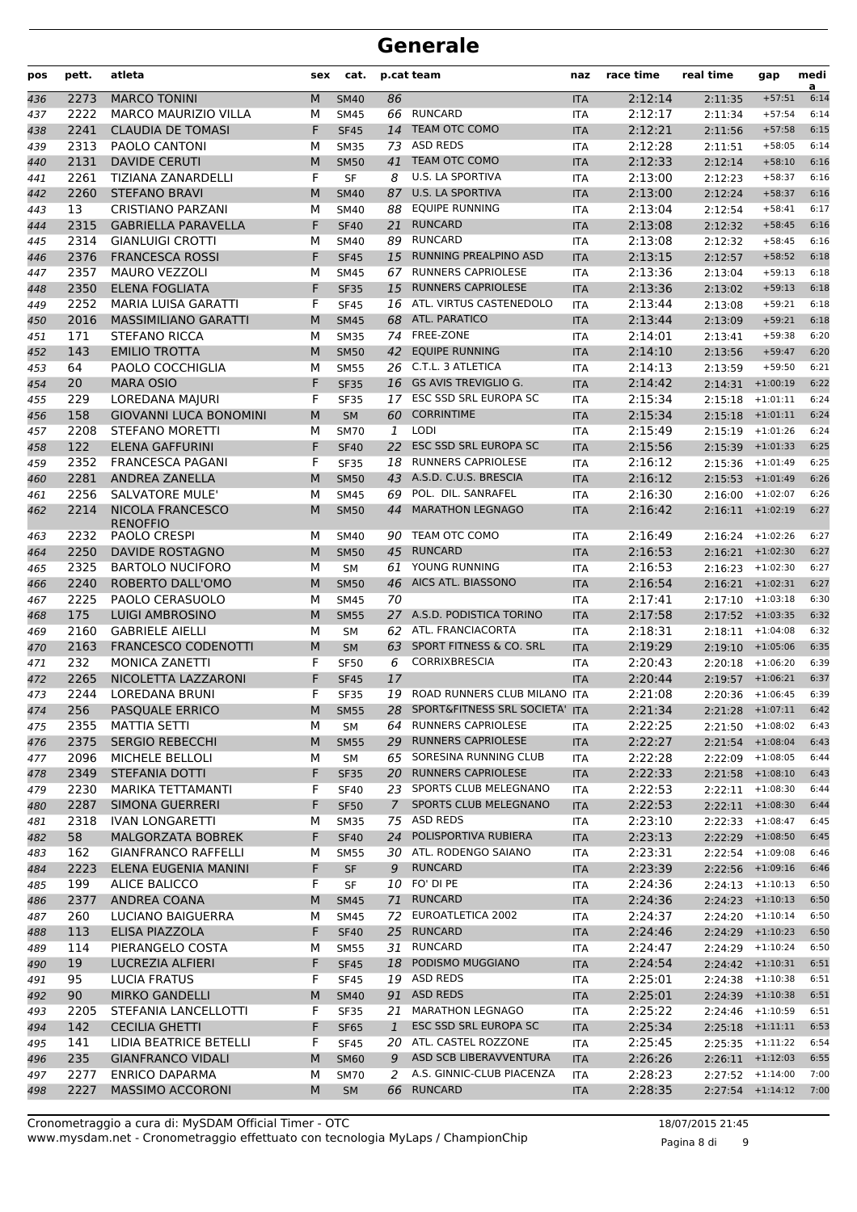| pos | pett. | atleta                        | sex | cat.        |              | p.cat team                        | naz        | race time | real time               | gap        | medi<br>a |
|-----|-------|-------------------------------|-----|-------------|--------------|-----------------------------------|------------|-----------|-------------------------|------------|-----------|
| 436 | 2273  | <b>MARCO TONINI</b>           | M   | <b>SM40</b> | 86           |                                   | <b>ITA</b> | 2:12:14   | 2:11:35                 | $+57:51$   | 6:14      |
| 437 | 2222  | <b>MARCO MAURIZIO VILLA</b>   | М   | <b>SM45</b> | 66           | RUNCARD                           | <b>ITA</b> | 2:12:17   | 2:11:34                 | $+57:54$   | 6:14      |
| 438 | 2241  | <b>CLAUDIA DE TOMASI</b>      | F   | <b>SF45</b> | 14           | <b>TEAM OTC COMO</b>              | <b>ITA</b> | 2:12:21   | 2:11:56                 | $+57:58$   | 6:15      |
| 439 | 2313  | PAOLO CANTONI                 | М   | <b>SM35</b> | 73           | ASD REDS                          | <b>ITA</b> | 2:12:28   | 2:11:51                 | $+58:05$   | 6:14      |
| 440 | 2131  | <b>DAVIDE CERUTI</b>          | M   | <b>SM50</b> | 41           | TEAM OTC COMO                     | <b>ITA</b> | 2:12:33   | 2:12:14                 | $+58:10$   | 6:16      |
| 441 | 2261  | TIZIANA ZANARDELLI            | F   | <b>SF</b>   | 8            | U.S. LA SPORTIVA                  | <b>ITA</b> | 2:13:00   | 2:12:23                 | $+58:37$   | 6:16      |
| 442 | 2260  | <b>STEFANO BRAVI</b>          | M   | <b>SM40</b> |              | 87 U.S. LA SPORTIVA               | <b>ITA</b> | 2:13:00   | 2:12:24                 | $+58:37$   | 6:16      |
| 443 | 13    | <b>CRISTIANO PARZANI</b>      | М   | <b>SM40</b> | 88           | <b>EQUIPE RUNNING</b>             | <b>ITA</b> | 2:13:04   | 2:12:54                 | $+58:41$   | 6:17      |
| 444 | 2315  | <b>GABRIELLA PARAVELLA</b>    | F   | <b>SF40</b> | 21           | <b>RUNCARD</b>                    | <b>ITA</b> | 2:13:08   | 2:12:32                 | $+58:45$   | 6:16      |
| 445 | 2314  | <b>GIANLUIGI CROTTI</b>       | М   | <b>SM40</b> | 89           | <b>RUNCARD</b>                    | <b>ITA</b> | 2:13:08   | 2:12:32                 | $+58:45$   | 6:16      |
| 446 | 2376  | <b>FRANCESCA ROSSI</b>        | F   | <b>SF45</b> | 15           | RUNNING PREALPINO ASD             | <b>ITA</b> | 2:13:15   | 2:12:57                 | $+58:52$   | 6:18      |
| 447 | 2357  | <b>MAURO VEZZOLI</b>          | М   | <b>SM45</b> | 67           | <b>RUNNERS CAPRIOLESE</b>         | <b>ITA</b> | 2:13:36   | 2:13:04                 | $+59:13$   | 6:18      |
| 448 | 2350  | <b>ELENA FOGLIATA</b>         | F   | <b>SF35</b> | 15           | <b>RUNNERS CAPRIOLESE</b>         | <b>ITA</b> | 2:13:36   | 2:13:02                 | $+59:13$   | 6:18      |
| 449 | 2252  | MARIA LUISA GARATTI           | F   | <b>SF45</b> |              | 16 ATL. VIRTUS CASTENEDOLO        | <b>ITA</b> | 2:13:44   | 2:13:08                 | $+59:21$   | 6:18      |
| 450 | 2016  | <b>MASSIMILIANO GARATTI</b>   | M   | <b>SM45</b> | 68           | ATL. PARATICO                     | <b>ITA</b> | 2:13:44   | 2:13:09                 | $+59:21$   | 6:18      |
| 451 | 171   | <b>STEFANO RICCA</b>          | М   | <b>SM35</b> | 74           | FREE-ZONE                         | <b>ITA</b> | 2:14:01   | 2:13:41                 | $+59:38$   | 6:20      |
| 452 | 143   | <b>EMILIO TROTTA</b>          | M   | <b>SM50</b> |              | 42 EQUIPE RUNNING                 | <b>ITA</b> | 2:14:10   | 2:13:56                 | $+59:47$   | 6:20      |
| 453 | 64    | PAOLO COCCHIGLIA              | М   | <b>SM55</b> |              | 26 C.T.L. 3 ATLETICA              | <b>ITA</b> | 2:14:13   | 2:13:59                 | $+59:50$   | 6:21      |
| 454 | 20    | <b>MARA OSIO</b>              | F   | <b>SF35</b> |              | 16 GS AVIS TREVIGLIO G.           | <b>ITA</b> | 2:14:42   | $2:14:31$ +1:00:19      |            | 6:22      |
| 455 | 229   | LOREDANA MAJURI               | F   | <b>SF35</b> |              | 17 ESC SSD SRL EUROPA SC          | <b>ITA</b> | 2:15:34   | 2:15:18                 | $+1:01:11$ | 6:24      |
| 456 | 158   | <b>GIOVANNI LUCA BONOMINI</b> | M   | <b>SM</b>   | 60           | <b>CORRINTIME</b>                 | <b>ITA</b> | 2:15:34   | 2:15:18                 | $+1:01:11$ | 6:24      |
| 457 | 2208  | <b>STEFANO MORETTI</b>        | М   | <b>SM70</b> | 1            | <b>LODI</b>                       | <b>ITA</b> | 2:15:49   | 2:15:19                 | $+1:01:26$ | 6:24      |
| 458 | 122   | <b>ELENA GAFFURINI</b>        | F   | <b>SF40</b> | 22           | <b>ESC SSD SRL EUROPA SC</b>      | <b>ITA</b> | 2:15:56   | $2:15:39$ +1:01:33      |            | 6:25      |
| 459 | 2352  | <b>FRANCESCA PAGANI</b>       | F   | <b>SF35</b> | 18           | <b>RUNNERS CAPRIOLESE</b>         | <b>ITA</b> | 2:16:12   | $2:15:36$ +1:01:49      |            | 6:25      |
| 460 | 2281  | <b>ANDREA ZANELLA</b>         | M   | <b>SM50</b> | 43           | A.S.D. C.U.S. BRESCIA             | <b>ITA</b> | 2:16:12   | $2:15:53$ +1:01:49      |            | 6:26      |
| 461 | 2256  | <b>SALVATORE MULE'</b>        | М   | <b>SM45</b> | 69           | POL. DIL. SANRAFEL                | <b>ITA</b> | 2:16:30   | 2:16:00                 | $+1:02:07$ | 6:26      |
| 462 | 2214  | <b>NICOLA FRANCESCO</b>       | M   | <b>SM50</b> | 44           | <b>MARATHON LEGNAGO</b>           | <b>ITA</b> | 2:16:42   | $2:16:11$ +1:02:19      |            | 6:27      |
|     |       | <b>RENOFFIO</b>               |     |             |              |                                   |            |           |                         |            |           |
| 463 | 2232  | PAOLO CRESPI                  | М   | <b>SM40</b> | 90           | TEAM OTC COMO                     | <b>ITA</b> | 2:16:49   | 2:16:24                 | $+1:02:26$ | 6:27      |
| 464 | 2250  | <b>DAVIDE ROSTAGNO</b>        | M   | <b>SM50</b> | 45           | <b>RUNCARD</b>                    | <b>ITA</b> | 2:16:53   | 2:16:21                 | $+1:02:30$ | 6:27      |
| 465 | 2325  | <b>BARTOLO NUCIFORO</b>       | М   | <b>SM</b>   | 61           | YOUNG RUNNING                     | <b>ITA</b> | 2:16:53   | 2:16:23                 | $+1:02:30$ | 6:27      |
| 466 | 2240  | ROBERTO DALL'OMO              | M   | <b>SM50</b> | 46           | AICS ATL. BIASSONO                | <b>ITA</b> | 2:16:54   | $2:16:21$ +1:02:31      |            | 6:27      |
| 467 | 2225  | PAOLO CERASUOLO               | М   | <b>SM45</b> | 70           |                                   | <b>ITA</b> | 2:17:41   | 2:17:10                 | $+1:03:18$ | 6:30      |
| 468 | 175   | <b>LUIGI AMBROSINO</b>        | M   | <b>SM55</b> |              | 27 A.S.D. PODISTICA TORINO        | <b>ITA</b> | 2:17:58   | $2:17:52$ +1:03:35      |            | 6:32      |
| 469 | 2160  | <b>GABRIELE AIELLI</b>        | М   | <b>SM</b>   | 62           | ATL. FRANCIACORTA                 | <b>ITA</b> | 2:18:31   | 2:18:11                 | $+1:04:08$ | 6:32      |
| 470 | 2163  | FRANCESCO CODENOTTI           | M   | <b>SM</b>   | 63           | SPORT FITNESS & CO. SRL           | <b>ITA</b> | 2:19:29   | 2:19:10                 | $+1:05:06$ | 6:35      |
| 471 | 232   | MONICA ZANETTI                | F   | <b>SF50</b> | 6            | <b>CORRIXBRESCIA</b>              | <b>ITA</b> | 2:20:43   | $2:20:18$ +1:06:20      |            | 6:39      |
| 472 | 2265  | NICOLETTA LAZZARONI           | F   | <b>SF45</b> | 17           |                                   | <b>ITA</b> | 2:20:44   | $2:19:57$ +1:06:21      |            | 6:37      |
| 473 | 2244  | <b>LOREDANA BRUNI</b>         | F   | <b>SF35</b> |              | 19 ROAD RUNNERS CLUB MILANO ITA   |            | 2:21:08   | $2:20:36$ +1:06:45      |            | 6:39      |
| 474 | 256   | PASQUALE ERRICO               | M   | <b>SM55</b> |              | 28 SPORT&FITNESS SRL SOCIETA' ITA |            | 2:21:34   | $2:21:28$ +1:07:11 6:42 |            |           |
| 475 | 2355  | MATTIA SETTI                  | м   | SM          |              | 64 RUNNERS CAPRIOLESE             | ITA        | 2:22:25   | $2:21:50$ +1:08:02      |            | 6:43      |
| 476 | 2375  | <b>SERGIO REBECCHI</b>        | M   | <b>SM55</b> | 29           | <b>RUNNERS CAPRIOLESE</b>         | <b>ITA</b> | 2:22:27   | $2:21:54$ +1:08:04      |            | 6:43      |
| 477 | 2096  | MICHELE BELLOLI               | М   | SM          |              | 65 SORESINA RUNNING CLUB          | ITA        | 2:22:28   | $2:22:09$ +1:08:05      |            | 6:44      |
| 478 | 2349  | <b>STEFANIA DOTTI</b>         | F   | <b>SF35</b> |              | 20 RUNNERS CAPRIOLESE             | <b>ITA</b> | 2:22:33   | $2:21:58$ +1:08:10      |            | 6:43      |
| 479 | 2230  | MARIKA TETTAMANTI             | F   | <b>SF40</b> |              | 23 SPORTS CLUB MELEGNANO          | ITA        | 2:22:53   | $2:22:11 + 1:08:30$     |            | 6:44      |
| 480 | 2287  | <b>SIMONA GUERRERI</b>        | F   | <b>SF50</b> | $7^{\circ}$  | SPORTS CLUB MELEGNANO             | <b>ITA</b> | 2:22:53   | $2:22:11 + 1:08:30$     |            | 6:44      |
| 481 | 2318  | <b>IVAN LONGARETTI</b>        | м   | <b>SM35</b> |              | 75 ASD REDS                       | ITA        | 2:23:10   | $2:22:33$ +1:08:47      |            | 6:45      |
| 482 | 58    | <b>MALGORZATA BOBREK</b>      | F   | <b>SF40</b> | 24           | POLISPORTIVA RUBIERA              | <b>ITA</b> | 2:23:13   | $2:22:29$ +1:08:50      |            | 6:45      |
| 483 | 162   | <b>GIANFRANCO RAFFELLI</b>    | М   | <b>SM55</b> |              | 30 ATL. RODENGO SAIANO            | ITA        | 2:23:31   | $2:22:54$ +1:09:08      |            | 6:46      |
| 484 | 2223  | ELENA EUGENIA MANINI          | F   | <b>SF</b>   | 9            | <b>RUNCARD</b>                    | <b>ITA</b> | 2:23:39   | $2:22:56$ +1:09:16      |            | 6:46      |
| 485 | 199   | ALICE BALICCO                 | F   | SF          |              | 10 FO' DI PE                      | ITA        | 2:24:36   | $2:24:13 + 1:10:13$     |            | 6:50      |
| 486 | 2377  | ANDREA COANA                  | M   | <b>SM45</b> |              | 71 RUNCARD                        | <b>ITA</b> | 2:24:36   | $2:24:23$ +1:10:13      |            | 6:50      |
| 487 | 260   | LUCIANO BAIGUERRA             | м   | <b>SM45</b> |              | 72 EUROATLETICA 2002              | ITA        | 2:24:37   | $2:24:20$ +1:10:14      |            | 6:50      |
| 488 | 113   | ELISA PIAZZOLA                | F   | <b>SF40</b> |              | 25 RUNCARD                        | <b>ITA</b> | 2:24:46   | $2:24:29$ +1:10:23      |            | 6:50      |
| 489 | 114   | PIERANGELO COSTA              | м   | <b>SM55</b> |              | 31 RUNCARD                        | ITA        | 2:24:47   | 2:24:29                 | $+1:10:24$ | 6:50      |
| 490 | 19    | LUCREZIA ALFIERI              | F   | <b>SF45</b> |              | 18 PODISMO MUGGIANO               | <b>ITA</b> | 2:24:54   | $2:24:42$ +1:10:31      |            | 6:51      |
| 491 | 95    | <b>LUCIA FRATUS</b>           | F   | <b>SF45</b> |              | 19 ASD REDS                       | ITA        | 2:25:01   | $2:24:38$ +1:10:38      |            | 6:51      |
| 492 | 90    | <b>MIRKO GANDELLI</b>         | M   | <b>SM40</b> |              | 91 ASD REDS                       | <b>ITA</b> | 2:25:01   | $2:24:39$ +1:10:38      |            | 6:51      |
| 493 | 2205  | STEFANIA LANCELLOTTI          | F   | <b>SF35</b> |              | 21 MARATHON LEGNAGO               | <b>ITA</b> | 2:25:22   | $2:24:46$ +1:10:59      |            | 6:51      |
| 494 | 142   | <b>CECILIA GHETTI</b>         | F   | <b>SF65</b> | $\mathbf{1}$ | ESC SSD SRL EUROPA SC             | <b>ITA</b> | 2:25:34   | $2:25:18$ +1:11:11      |            | 6:53      |
| 495 | 141   | LIDIA BEATRICE BETELLI        | F   | <b>SF45</b> |              | 20 ATL. CASTEL ROZZONE            | ITA        | 2:25:45   | $2:25:35$ +1:11:22      |            | 6:54      |
| 496 | 235   | <b>GIANFRANCO VIDALI</b>      | M   | <b>SM60</b> | 9            | ASD SCB LIBERAVVENTURA            | <b>ITA</b> | 2:26:26   | $2:26:11$ +1:12:03      |            | 6:55      |
| 497 | 2277  | <b>ENRICO DAPARMA</b>         | М   | <b>SM70</b> | 2            | A.S. GINNIC-CLUB PIACENZA         | ITA        | 2:28:23   | $2:27:52 + 1:14:00$     |            | 7:00      |
| 498 | 2227  | <b>MASSIMO ACCORONI</b>       | M   | <b>SM</b>   |              | 66 RUNCARD                        | <b>ITA</b> | 2:28:35   | $2:27:54$ +1:14:12      |            | 7:00      |

Pagina 8 di 9